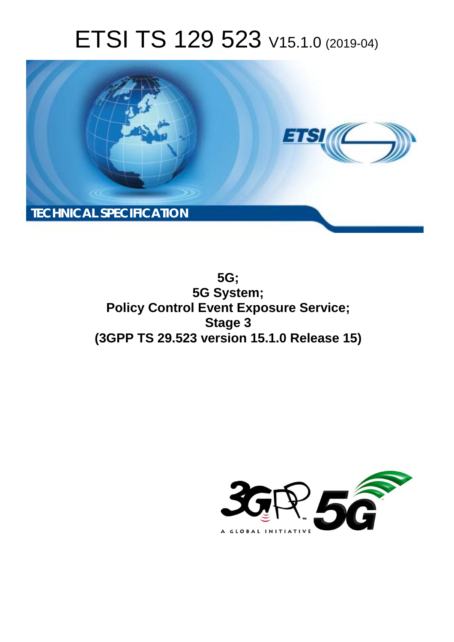# ETSI TS 129 523 V15.1.0 (2019-04)



**5G; 5G System; Policy Control Event Exposure Service; Stage 3 (3GPP TS 29.523 version 15.1.0 Release 15)** 

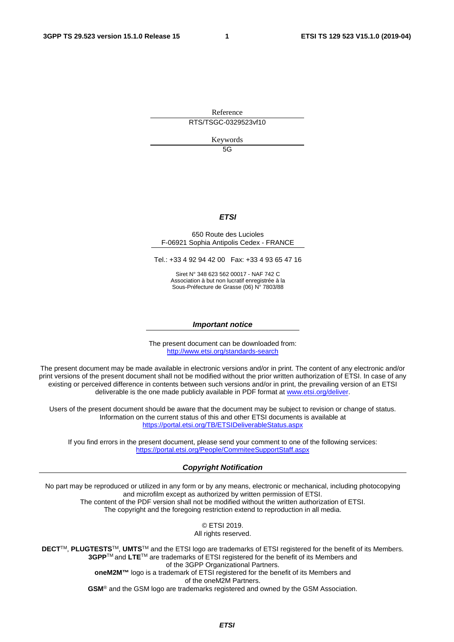Reference RTS/TSGC-0329523vf10

Keywords

5G

### *ETSI*

#### 650 Route des Lucioles F-06921 Sophia Antipolis Cedex - FRANCE

Tel.: +33 4 92 94 42 00 Fax: +33 4 93 65 47 16

Siret N° 348 623 562 00017 - NAF 742 C Association à but non lucratif enregistrée à la Sous-Préfecture de Grasse (06) N° 7803/88

#### *Important notice*

The present document can be downloaded from: <http://www.etsi.org/standards-search>

The present document may be made available in electronic versions and/or in print. The content of any electronic and/or print versions of the present document shall not be modified without the prior written authorization of ETSI. In case of any existing or perceived difference in contents between such versions and/or in print, the prevailing version of an ETSI deliverable is the one made publicly available in PDF format at [www.etsi.org/deliver](http://www.etsi.org/deliver).

Users of the present document should be aware that the document may be subject to revision or change of status. Information on the current status of this and other ETSI documents is available at <https://portal.etsi.org/TB/ETSIDeliverableStatus.aspx>

If you find errors in the present document, please send your comment to one of the following services: <https://portal.etsi.org/People/CommiteeSupportStaff.aspx>

#### *Copyright Notification*

No part may be reproduced or utilized in any form or by any means, electronic or mechanical, including photocopying and microfilm except as authorized by written permission of ETSI. The content of the PDF version shall not be modified without the written authorization of ETSI. The copyright and the foregoing restriction extend to reproduction in all media.

> © ETSI 2019. All rights reserved.

**DECT**TM, **PLUGTESTS**TM, **UMTS**TM and the ETSI logo are trademarks of ETSI registered for the benefit of its Members. **3GPP**TM and **LTE**TM are trademarks of ETSI registered for the benefit of its Members and of the 3GPP Organizational Partners. **oneM2M™** logo is a trademark of ETSI registered for the benefit of its Members and of the oneM2M Partners. **GSM**® and the GSM logo are trademarks registered and owned by the GSM Association.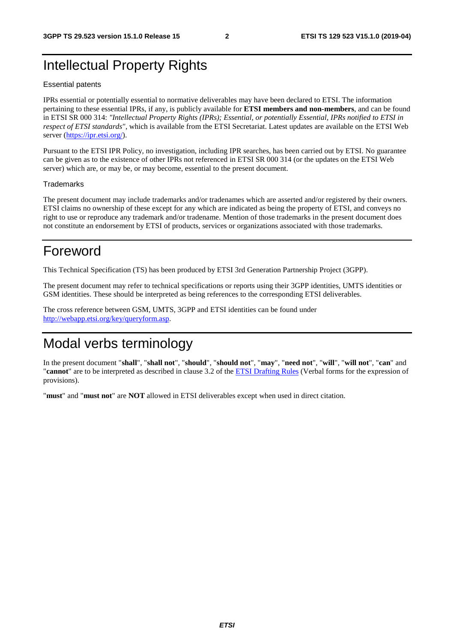# Intellectual Property Rights

#### Essential patents

IPRs essential or potentially essential to normative deliverables may have been declared to ETSI. The information pertaining to these essential IPRs, if any, is publicly available for **ETSI members and non-members**, and can be found in ETSI SR 000 314: *"Intellectual Property Rights (IPRs); Essential, or potentially Essential, IPRs notified to ETSI in respect of ETSI standards"*, which is available from the ETSI Secretariat. Latest updates are available on the ETSI Web server ([https://ipr.etsi.org/\)](https://ipr.etsi.org/).

Pursuant to the ETSI IPR Policy, no investigation, including IPR searches, has been carried out by ETSI. No guarantee can be given as to the existence of other IPRs not referenced in ETSI SR 000 314 (or the updates on the ETSI Web server) which are, or may be, or may become, essential to the present document.

#### **Trademarks**

The present document may include trademarks and/or tradenames which are asserted and/or registered by their owners. ETSI claims no ownership of these except for any which are indicated as being the property of ETSI, and conveys no right to use or reproduce any trademark and/or tradename. Mention of those trademarks in the present document does not constitute an endorsement by ETSI of products, services or organizations associated with those trademarks.

# Foreword

This Technical Specification (TS) has been produced by ETSI 3rd Generation Partnership Project (3GPP).

The present document may refer to technical specifications or reports using their 3GPP identities, UMTS identities or GSM identities. These should be interpreted as being references to the corresponding ETSI deliverables.

The cross reference between GSM, UMTS, 3GPP and ETSI identities can be found under [http://webapp.etsi.org/key/queryform.asp.](http://webapp.etsi.org/key/queryform.asp)

# Modal verbs terminology

In the present document "**shall**", "**shall not**", "**should**", "**should not**", "**may**", "**need not**", "**will**", "**will not**", "**can**" and "**cannot**" are to be interpreted as described in clause 3.2 of the [ETSI Drafting Rules](https://portal.etsi.org/Services/editHelp!/Howtostart/ETSIDraftingRules.aspx) (Verbal forms for the expression of provisions).

"**must**" and "**must not**" are **NOT** allowed in ETSI deliverables except when used in direct citation.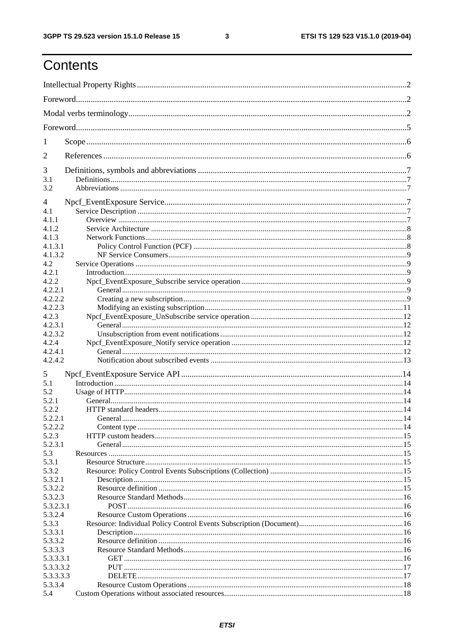$\mathbf{3}$ 

# Contents

| 1                |  |
|------------------|--|
| 2                |  |
| 3                |  |
| 3.1<br>3.2       |  |
|                  |  |
| 4                |  |
| 4.1              |  |
| 4.1.1            |  |
| 4.1.2<br>4.1.3   |  |
| 4.1.3.1          |  |
| 4.1.3.2          |  |
| 4.2              |  |
| 4.2.1            |  |
| 4.2.2            |  |
| 4.2.2.1          |  |
| 4.2.2.2          |  |
| 4.2.2.3          |  |
| 4.2.3            |  |
| 4.2.3.1          |  |
| 4.2.3.2          |  |
| 4.2.4            |  |
| 4.2.4.1          |  |
| 4.2.4.2          |  |
|                  |  |
| 5                |  |
| 5.1              |  |
| 5.2              |  |
| 5.2.1            |  |
| 5.2.2            |  |
| 5.2.2.1          |  |
| 5.2.2.2          |  |
| 5.2.3<br>5.2.3.1 |  |
| 5.3              |  |
| 5.3.1            |  |
| 5.3.2            |  |
| 5.3.2.1          |  |
| 5.3.2.2          |  |
| 5.3.2.3          |  |
| 5.3.2.3.1        |  |
| 5.3.2.4          |  |
| 5.3.3            |  |
| 5.3.3.1          |  |
| 5.3.3.2          |  |
| 5.3.3.3          |  |
| 5.3.3.3.1        |  |
| 5.3.3.3.2        |  |
| 5.3.3.3.3        |  |
| 5.3.3.4          |  |
| 5.4              |  |
|                  |  |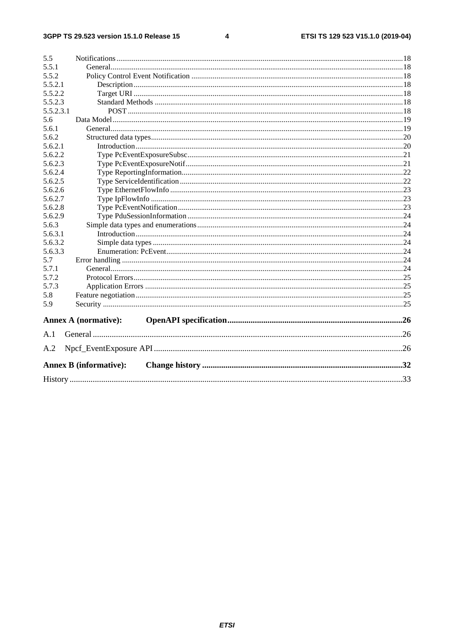$\overline{\mathbf{4}}$ 

| 5.5       |                               |  |
|-----------|-------------------------------|--|
| 5.5.1     |                               |  |
| 5.5.2     |                               |  |
| 5.5.2.1   |                               |  |
| 5.5.2.2   |                               |  |
| 5.5.2.3   |                               |  |
| 5.5.2.3.1 |                               |  |
| 5.6       |                               |  |
| 5.6.1     |                               |  |
| 5.6.2     |                               |  |
| 5.6.2.1   |                               |  |
| 5.6.2.2   |                               |  |
| 5.6.2.3   |                               |  |
| 5.6.2.4   |                               |  |
| 5.6.2.5   |                               |  |
| 5.6.2.6   |                               |  |
| 5.6.2.7   |                               |  |
| 5.6.2.8   |                               |  |
| 5.6.2.9   |                               |  |
| 5.6.3     |                               |  |
| 5.6.3.1   |                               |  |
| 5.6.3.2   |                               |  |
| 5.6.3.3   |                               |  |
| 5.7       |                               |  |
| 5.7.1     |                               |  |
| 5.7.2     |                               |  |
| 5.7.3     |                               |  |
| 5.8       |                               |  |
| 5.9       |                               |  |
|           |                               |  |
|           | <b>Annex A (normative):</b>   |  |
| A.1       |                               |  |
| A.2       |                               |  |
|           | <b>Annex B (informative):</b> |  |
|           |                               |  |
|           |                               |  |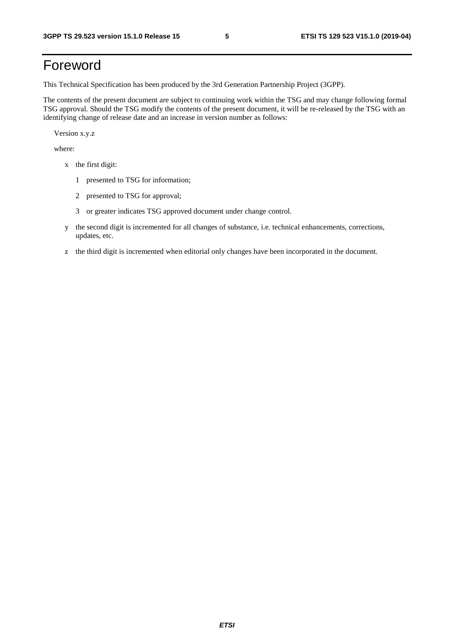# Foreword

This Technical Specification has been produced by the 3rd Generation Partnership Project (3GPP).

The contents of the present document are subject to continuing work within the TSG and may change following formal TSG approval. Should the TSG modify the contents of the present document, it will be re-released by the TSG with an identifying change of release date and an increase in version number as follows:

Version x.y.z

where:

- x the first digit:
	- 1 presented to TSG for information;
	- 2 presented to TSG for approval;
	- 3 or greater indicates TSG approved document under change control.
- y the second digit is incremented for all changes of substance, i.e. technical enhancements, corrections, updates, etc.
- z the third digit is incremented when editorial only changes have been incorporated in the document.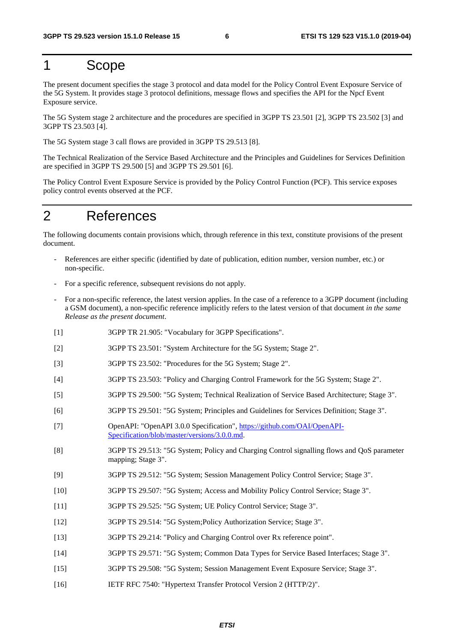# 1 Scope

The present document specifies the stage 3 protocol and data model for the Policy Control Event Exposure Service of the 5G System. It provides stage 3 protocol definitions, message flows and specifies the API for the Npcf Event Exposure service.

The 5G System stage 2 architecture and the procedures are specified in 3GPP TS 23.501 [2], 3GPP TS 23.502 [3] and 3GPP TS 23.503 [4].

The 5G System stage 3 call flows are provided in 3GPP TS 29.513 [8].

The Technical Realization of the Service Based Architecture and the Principles and Guidelines for Services Definition are specified in 3GPP TS 29.500 [5] and 3GPP TS 29.501 [6].

The Policy Control Event Exposure Service is provided by the Policy Control Function (PCF). This service exposes policy control events observed at the PCF.

# 2 References

The following documents contain provisions which, through reference in this text, constitute provisions of the present document.

- References are either specific (identified by date of publication, edition number, version number, etc.) or non-specific.
- For a specific reference, subsequent revisions do not apply.
- For a non-specific reference, the latest version applies. In the case of a reference to a 3GPP document (including a GSM document), a non-specific reference implicitly refers to the latest version of that document *in the same Release as the present document*.
- [1] 3GPP TR 21.905: "Vocabulary for 3GPP Specifications".
- [2] 3GPP TS 23.501: "System Architecture for the 5G System; Stage 2".
- [3] 3GPP TS 23.502: "Procedures for the 5G System; Stage 2".
- [4] 3GPP TS 23.503: "Policy and Charging Control Framework for the 5G System; Stage 2".
- [5] 3GPP TS 29.500: "5G System; Technical Realization of Service Based Architecture; Stage 3".
- [6] 3GPP TS 29.501: "5G System; Principles and Guidelines for Services Definition; Stage 3".
- [7] OpenAPI: "OpenAPI 3.0.0 Specification", [https://github.com/OAI/OpenAPI](https://github.com/OAI/OpenAPI-Specification/blob/master/versions/3.0.0.md)-[Specification/blob/master/versions/3.0.0.md](https://github.com/OAI/OpenAPI-Specification/blob/master/versions/3.0.0.md).
- [8] 3GPP TS 29.513: "5G System; Policy and Charging Control signalling flows and QoS parameter mapping; Stage 3".
- [9] 3GPP TS 29.512: "5G System; Session Management Policy Control Service; Stage 3".
- [10] 3GPP TS 29.507: "5G System; Access and Mobility Policy Control Service; Stage 3".
- [11] 3GPP TS 29.525: "5G System; UE Policy Control Service; Stage 3".
- [12] 3GPP TS 29.514: "5G System;Policy Authorization Service; Stage 3".
- [13] 3GPP TS 29.214: "Policy and Charging Control over Rx reference point".
- [14] 3GPP TS 29.571: "5G System; Common Data Types for Service Based Interfaces; Stage 3".
- [15] 3GPP TS 29.508: "5G System; Session Management Event Exposure Service; Stage 3".
- [16] IETF RFC 7540: "Hypertext Transfer Protocol Version 2 (HTTP/2)".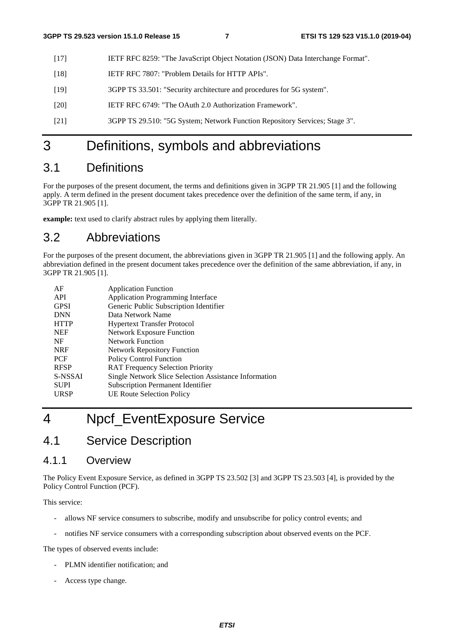- [17] IETF RFC 8259: "The JavaScript Object Notation (JSON) Data Interchange Format".
- [18] IETF RFC 7807: "Problem Details for HTTP APIs".
- [19] 3GPP TS 33.501: "Security architecture and procedures for 5G system".
- [20] IETF RFC 6749: "The OAuth 2.0 Authorization Framework".
- [21] 3GPP TS 29.510: "5G System; Network Function Repository Services; Stage 3".

# 3 Definitions, symbols and abbreviations

# 3.1 Definitions

For the purposes of the present document, the terms and definitions given in 3GPP TR 21.905 [1] and the following apply. A term defined in the present document takes precedence over the definition of the same term, if any, in 3GPP TR 21.905 [1].

**example:** text used to clarify abstract rules by applying them literally.

# 3.2 Abbreviations

For the purposes of the present document, the abbreviations given in 3GPP TR 21.905 [1] and the following apply. An abbreviation defined in the present document takes precedence over the definition of the same abbreviation, if any, in 3GPP TR 21.905 [1].

| AF          | <b>Application Function</b>                           |
|-------------|-------------------------------------------------------|
| API         | <b>Application Programming Interface</b>              |
| <b>GPSI</b> | Generic Public Subscription Identifier                |
| <b>DNN</b>  | Data Network Name                                     |
| <b>HTTP</b> | <b>Hypertext Transfer Protocol</b>                    |
| <b>NEF</b>  | <b>Network Exposure Function</b>                      |
| NF          | <b>Network Function</b>                               |
| <b>NRF</b>  | <b>Network Repository Function</b>                    |
| <b>PCF</b>  | <b>Policy Control Function</b>                        |
| <b>RFSP</b> | <b>RAT Frequency Selection Priority</b>               |
| S-NSSAI     | Single Network Slice Selection Assistance Information |
| <b>SUPI</b> | <b>Subscription Permanent Identifier</b>              |
| URSP        | <b>UE Route Selection Policy</b>                      |

# 4 Npcf\_EventExposure Service

# 4.1 Service Description

### 4.1.1 Overview

The Policy Event Exposure Service, as defined in 3GPP TS 23.502 [3] and 3GPP TS 23.503 [4], is provided by the Policy Control Function (PCF).

This service:

- allows NF service consumers to subscribe, modify and unsubscribe for policy control events; and
- notifies NF service consumers with a corresponding subscription about observed events on the PCF.

The types of observed events include:

- PLMN identifier notification; and
- Access type change.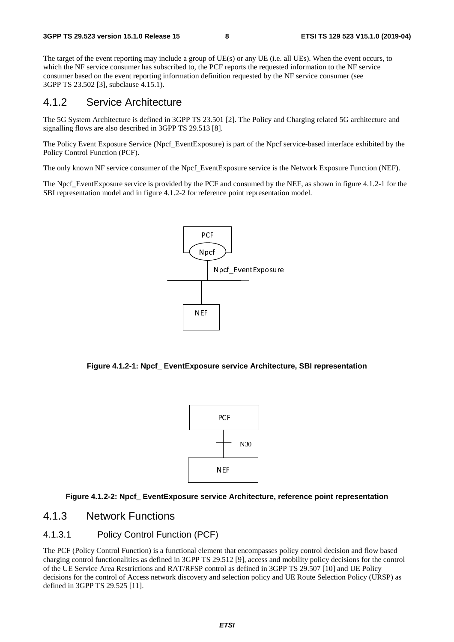The target of the event reporting may include a group of UE(s) or any UE (i.e. all UEs). When the event occurs, to which the NF service consumer has subscribed to, the PCF reports the requested information to the NF service consumer based on the event reporting information definition requested by the NF service consumer (see 3GPP TS 23.502 [3], subclause 4.15.1).

### 4.1.2 Service Architecture

The 5G System Architecture is defined in 3GPP TS 23.501 [2]. The Policy and Charging related 5G architecture and signalling flows are also described in 3GPP TS 29.513 [8].

The Policy Event Exposure Service (Npcf\_EventExposure) is part of the Npcf service-based interface exhibited by the Policy Control Function (PCF).

The only known NF service consumer of the Npcf\_EventExposure service is the Network Exposure Function (NEF).

The Npcf. EventExposure service is provided by the PCF and consumed by the NEF, as shown in figure 4.1.2-1 for the SBI representation model and in figure 4.1.2-2 for reference point representation model.



**Figure 4.1.2-1: Npcf\_ EventExposure service Architecture, SBI representation** 



#### **Figure 4.1.2-2: Npcf\_ EventExposure service Architecture, reference point representation**

#### 4.1.3 Network Functions

#### 4.1.3.1 Policy Control Function (PCF)

The PCF (Policy Control Function) is a functional element that encompasses policy control decision and flow based charging control functionalities as defined in 3GPP TS 29.512 [9], access and mobility policy decisions for the control of the UE Service Area Restrictions and RAT/RFSP control as defined in 3GPP TS 29.507 [10] and UE Policy decisions for the control of Access network discovery and selection policy and UE Route Selection Policy (URSP) as defined in 3GPP TS 29.525 [11].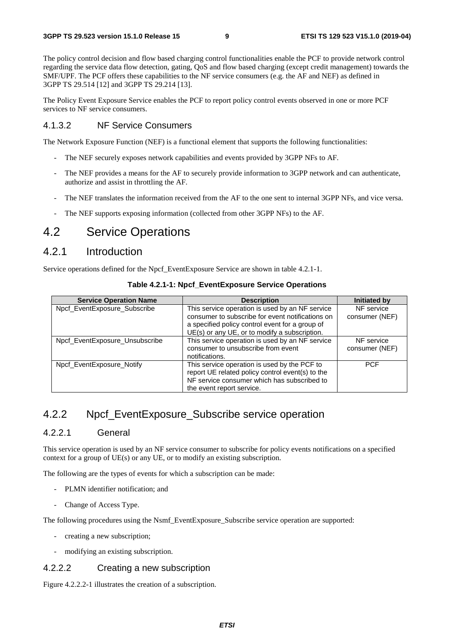The policy control decision and flow based charging control functionalities enable the PCF to provide network control regarding the service data flow detection, gating, QoS and flow based charging (except credit management) towards the SMF/UPF. The PCF offers these capabilities to the NF service consumers (e.g. the AF and NEF) as defined in 3GPP TS 29.514 [12] and 3GPP TS 29.214 [13].

The Policy Event Exposure Service enables the PCF to report policy control events observed in one or more PCF services to NF service consumers.

#### 4.1.3.2 NF Service Consumers

The Network Exposure Function (NEF) is a functional element that supports the following functionalities:

- The NEF securely exposes network capabilities and events provided by 3GPP NFs to AF.
- The NEF provides a means for the AF to securely provide information to 3GPP network and can authenticate, authorize and assist in throttling the AF.
- The NEF translates the information received from the AF to the one sent to internal 3GPP NFs, and vice versa.
- The NEF supports exposing information (collected from other 3GPP NFs) to the AF.

# 4.2 Service Operations

### 4.2.1 Introduction

Service operations defined for the Npcf\_EventExposure Service are shown in table 4.2.1-1.

| <b>Service Operation Name</b>  | <b>Description</b>                                                                                                                                                           | <b>Initiated by</b>          |
|--------------------------------|------------------------------------------------------------------------------------------------------------------------------------------------------------------------------|------------------------------|
| Npcf_EventExposure_Subscribe   | This service operation is used by an NF service<br>consumer to subscribe for event notifications on                                                                          | NF service<br>consumer (NEF) |
|                                | a specified policy control event for a group of<br>UE(s) or any UE, or to modify a subscription.                                                                             |                              |
| Npcf_EventExposure_Unsubscribe | This service operation is used by an NF service<br>consumer to unsubscribe from event<br>notifications.                                                                      | NF service<br>consumer (NEF) |
| Npcf EventExposure Notify      | This service operation is used by the PCF to<br>report UE related policy control event(s) to the<br>NF service consumer which has subscribed to<br>the event report service. | <b>PCF</b>                   |

**Table 4.2.1-1: Npcf\_EventExposure Service Operations**

# 4.2.2 Npcf EventExposure\_Subscribe service operation

#### 4.2.2.1 General

This service operation is used by an NF service consumer to subscribe for policy events notifications on a specified context for a group of UE(s) or any UE, or to modify an existing subscription.

The following are the types of events for which a subscription can be made:

- PLMN identifier notification; and
- Change of Access Type.

The following procedures using the Nsmf\_EventExposure\_Subscribe service operation are supported:

- creating a new subscription;
- modifying an existing subscription.

#### 4.2.2.2 Creating a new subscription

Figure 4.2.2.2-1 illustrates the creation of a subscription.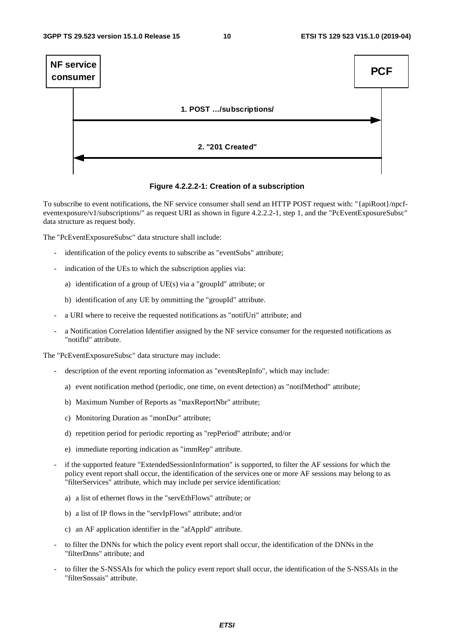

**Figure 4.2.2.2-1: Creation of a subscription** 

To subscribe to event notifications, the NF service consumer shall send an HTTP POST request with: "{apiRoot}/npcfeventexposure/v1/subscriptions/" as request URI as shown in figure 4.2.2.2-1, step 1, and the "PcEventExposureSubsc" data structure as request body.

The "PcEventExposureSubsc" data structure shall include:

- identification of the policy events to subscribe as "eventSubs" attribute;
- indication of the UEs to which the subscription applies via:
	- a) identification of a group of UE(s) via a "groupId" attribute; or
	- b) identification of any UE by ommitting the "groupId" attribute.
- a URI where to receive the requested notifications as "notifUri" attribute; and
- a Notification Correlation Identifier assigned by the NF service consumer for the requested notifications as "notifId" attribute.

The "PcEventExposureSubsc" data structure may include:

- description of the event reporting information as "eventsRepInfo", which may include:
	- a) event notification method (periodic, one time, on event detection) as "notifMethod" attribute;
	- b) Maximum Number of Reports as "maxReportNbr" attribute;
	- c) Monitoring Duration as "monDur" attribute;
	- d) repetition period for periodic reporting as "repPeriod" attribute; and/or
	- e) immediate reporting indication as "immRep" attribute.
- if the supported feature "ExtendedSessionInformation" is supported, to filter the AF sessions for which the policy event report shall occur, the identification of the services one or more AF sessions may belong to as "filterServices" attribute, which may include per service identification:
	- a) a list of ethernet flows in the "servEthFlows" attribute; or
	- b) a list of IP flows in the "servIpFlows" attribute; and/or
	- c) an AF application identifier in the "afAppId" attribute.
- to filter the DNNs for which the policy event report shall occur, the identification of the DNNs in the "filterDnns" attribute; and
- to filter the S-NSSAIs for which the policy event report shall occur, the identification of the S-NSSAIs in the "filterSnssais" attribute.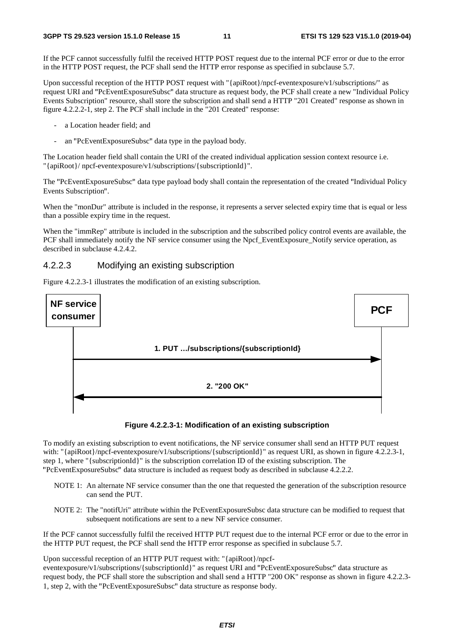If the PCF cannot successfully fulfil the received HTTP POST request due to the internal PCF error or due to the error in the HTTP POST request, the PCF shall send the HTTP error response as specified in subclause 5.7.

Upon successful reception of the HTTP POST request with "{apiRoot}/npcf-eventexposure/v1/subscriptions/" as request URI and "PcEventExposureSubsc" data structure as request body, the PCF shall create a new "Individual Policy "PcEventExposureSubsc" data structure as request body, the PCF shall create a new "Individual Policy<br>ion" resource, shall store the subscription and shall send a HTTP "201 Created" response as shown in<br>step 2. The PCF shal Events Subscription" resource, shall store the subscription and shall send a HTTP "201 Created" response as shown in figure 4.2.2.2-1, step 2. The PCF shall include in the "201 Created" response:

- a Location header field; and
- an "PcEventExposureSubsc" data type in the payload body.

- an "PcEventExposureSubsc" data type in the payload body.<br>The Location header field shall contain the URI of the created individual application session context resource i.e. "{apiRoot}/ npcf-eventexposure/v1/subscriptions/{subscriptionId}".

The "PcEventExposureSubsc" data type payload body shall contain the representation of the created "Individual Policy Events Subscription

Events Subscription".<br>When the "monDur" attribute is included in the response, it represents a server selected expiry time that is equal or less than a possible expiry time in the request.

When the "immRep" attribute is included in the subscription and the subscribed policy control events are available, the PCF shall immediately notify the NF service consumer using the Npcf\_EventExposure\_Notify service operation, as described in subclause 4.2.4.2.

#### 4.2.2.3 Modifying an existing subscription

Figure 4.2.2.3-1 illustrates the modification of an existing subscription.





To modify an existing subscription to event notifications, the NF service consumer shall send an HTTP PUT request with: "{apiRoot}/npcf-eventexposure/v1/subscriptions/{subscriptionId}" as request URI, as shown in figure 4.2.2.3-1, step 1, where "{subscriptionId}" is the subscription correlation ID of the existing subscription. The

- "PcEventExposureSubsc" data structure is included as request body as described in subclause 4.2.2.2. NOTE 1: An alternate NF service consumer than the one that requested the generation of the subscription resource can send the PUT.
	- NOTE 2: The "notifUri" attribute within the PcEventExposureSubsc data structure can be modified to request that subsequent notifications are sent to a new NF service consumer.

If the PCF cannot successfully fulfil the received HTTP PUT request due to the internal PCF error or due to the error in the HTTP PUT request, the PCF shall send the HTTP error response as specified in subclause 5.7.

Upon successful reception of an HTTP PUT request with: "{apiRoot}/npcf-

eventexposure/v1/subscriptions/{subscriptionId}" as request URI and "PcEventExposureSubsc" data structure as "PcEventExposureSubsc" data structure as<br>TP "200 OK" response as shown in figure 4<br>body. request body, the PCF shall store the subscription and shall send a HTTP "200 OK" response as shown in figure 4.2.2.3- 1, step 2, with the "PcEventExposureSubsc" data structure as response body.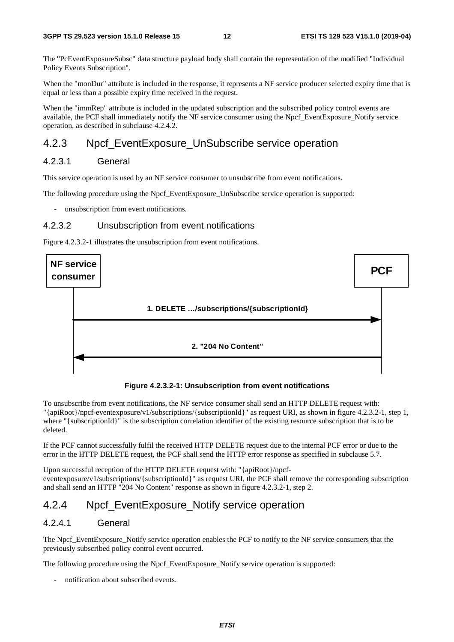The "PcEventExposureSubsc" data structure payload body shall contain the representation of the modified "Individual Policy Events Subscription".

Policy Events Subscription".<br>When the "monDur" attribute is included in the response, it represents a NF service producer selected expiry time that is equal or less than a possible expiry time received in the request.

When the "immRep" attribute is included in the updated subscription and the subscribed policy control events are available, the PCF shall immediately notify the NF service consumer using the Npcf\_EventExposure\_Notify service operation, as described in subclause 4.2.4.2.

### 4.2.3 Npcf\_EventExposure\_UnSubscribe service operation

### 4.2.3.1 General

This service operation is used by an NF service consumer to unsubscribe from event notifications.

The following procedure using the Npcf\_EventExposure\_UnSubscribe service operation is supported:

unsubscription from event notifications.

#### 4.2.3.2 Unsubscription from event notifications

Figure 4.2.3.2-1 illustrates the unsubscription from event notifications.



**Figure 4.2.3.2-1: Unsubscription from event notifications** 

To unsubscribe from event notifications, the NF service consumer shall send an HTTP DELETE request with: "{apiRoot}/npcf-eventexposure/v1/subscriptions/{subscriptionId}" as request URI, as shown in figure 4.2.3.2-1, step 1, where "{subscriptionId}" is the subscription correlation identifier of the existing resource subscription that is to be deleted.

If the PCF cannot successfully fulfil the received HTTP DELETE request due to the internal PCF error or due to the error in the HTTP DELETE request, the PCF shall send the HTTP error response as specified in subclause 5.7.

Upon successful reception of the HTTP DELETE request with: "{apiRoot}/npcfeventexposure/v1/subscriptions/{subscriptionId}" as request URI, the PCF shall remove the corresponding subscription and shall send an HTTP "204 No Content" response as shown in figure 4.2.3.2-1, step 2.

### 4.2.4 Npcf\_EventExposure\_Notify service operation

#### 4.2.4.1 General

The Npcf. EventExposure. Notify service operation enables the PCF to notify to the NF service consumers that the previously subscribed policy control event occurred.

The following procedure using the Npcf. EventExposure. Notify service operation is supported:

notification about subscribed events.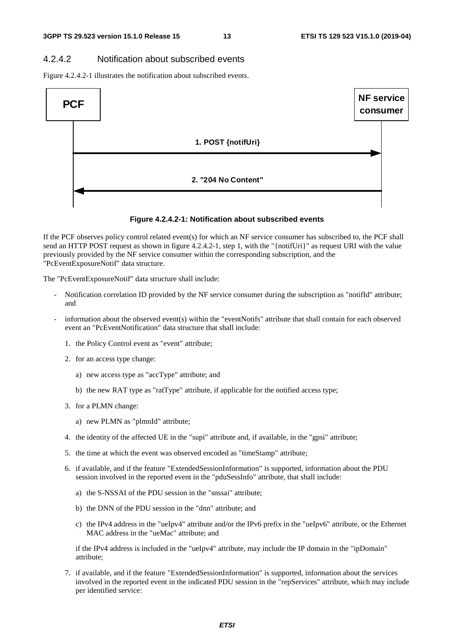#### 4.2.4.2 Notification about subscribed events

Figure 4.2.4.2-1 illustrates the notification about subscribed events.



#### **Figure 4.2.4.2-1: Notification about subscribed events**

If the PCF observes policy control related event(s) for which an NF service consumer has subscribed to, the PCF shall send an HTTP POST request as shown in figure 4.2.4.2-1, step 1, with the "{notifUri}" as request URI with the value previously provided by the NF service consumer within the corresponding subscription, and the "PcEventExposureNotif" data structure.

The "PcEventExposureNotif" data structure shall include:

- Notification correlation ID provided by the NF service consumer during the subscription as "notifId" attribute; and
- information about the observed event(s) within the "eventNotifs" attribute that shall contain for each observed event an "PcEventNotification" data structure that shall include:
	- 1. the Policy Control event as "event" attribute;
	- 2. for an access type change:
		- a) new access type as "accType" attribute; and
		- b) the new RAT type as "ratType" attribute, if applicable for the notified access type;
	- 3. for a PLMN change:
		- a) new PLMN as "plmnId" attribute;
	- 4. the identity of the affected UE in the "supi" attribute and, if available, in the "gpsi" attribute;
	- 5. the time at which the event was observed encoded as "timeStamp" attribute;
	- 6. if available, and if the feature "ExtendedSessionInformation" is supported, information about the PDU session involved in the reported event in the "pduSessInfo" attribute, that shall include:
		- a) the S-NSSAI of the PDU session in the "snssai" attribute;
		- b) the DNN of the PDU session in the "dnn" attribute; and
		- c) the IPv4 address in the "ueIpv4" attribute and/or the IPv6 prefix in the "ueIpv6" attribute, or the Ethernet MAC address in the "ueMac" attribute; and

if the IPv4 address is included in the "ueIpv4" attribute, may include the IP domain in the "ipDomain" attribute;

7. if available, and if the feature "ExtendedSessionInformation" is supported, information about the services involved in the reported event in the indicated PDU session in the "repServices" attribute, which may include per identified service: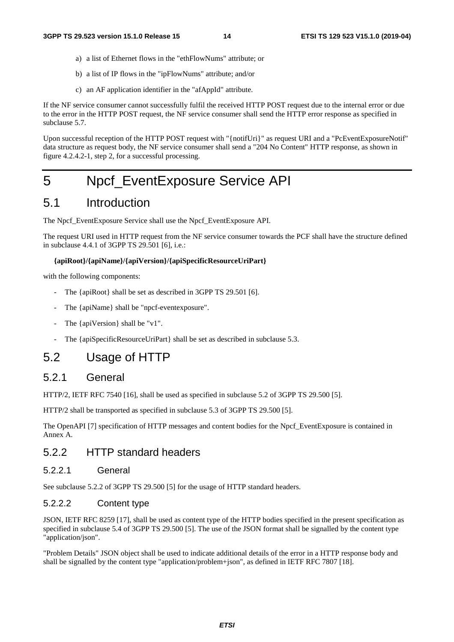- a) a list of Ethernet flows in the "ethFlowNums" attribute; or
- b) a list of IP flows in the "ipFlowNums" attribute; and/or
- c) an AF application identifier in the "afAppId" attribute.

If the NF service consumer cannot successfully fulfil the received HTTP POST request due to the internal error or due to the error in the HTTP POST request, the NF service consumer shall send the HTTP error response as specified in subclause 5.7.

Upon successful reception of the HTTP POST request with "{notifUri}" as request URI and a "PcEventExposureNotif" data structure as request body, the NF service consumer shall send a "204 No Content" HTTP response, as shown in figure 4.2.4.2-1, step 2, for a successful processing.

# 5 Npcf\_EventExposure Service API

# 5.1 Introduction

The Npcf\_EventExposure Service shall use the Npcf\_EventExposure API.

The request URI used in HTTP request from the NF service consumer towards the PCF shall have the structure defined in subclause 4.4.1 of 3GPP TS 29.501 [6], i.e.:

#### **{apiRoot}/{apiName}/{apiVersion}/{apiSpecificResourceUriPart}**

with the following components:

- The {apiRoot} shall be set as described in 3GPP TS 29.501 [6].
- The {apiName} shall be "npcf-eventexposure".
- The {apiVersion} shall be "v1".
- The {apiSpecificResourceUriPart} shall be set as described in subclause 5.3.

# 5.2 Usage of HTTP

#### 5.2.1 General

HTTP/2, IETF RFC 7540 [16], shall be used as specified in subclause 5.2 of 3GPP TS 29.500 [5].

HTTP/2 shall be transported as specified in subclause 5.3 of 3GPP TS 29.500 [5].

The OpenAPI [7] specification of HTTP messages and content bodies for the Npcf\_EventExposure is contained in Annex A.

# 5.2.2 HTTP standard headers

#### 5.2.2.1 General

See subclause 5.2.2 of 3GPP TS 29.500 [5] for the usage of HTTP standard headers.

#### 5.2.2.2 Content type

JSON, IETF RFC 8259 [17], shall be used as content type of the HTTP bodies specified in the present specification as specified in subclause 5.4 of 3GPP TS 29.500 [5]. The use of the JSON format shall be signalled by the content type "application/json".

"Problem Details" JSON object shall be used to indicate additional details of the error in a HTTP response body and shall be signalled by the content type "application/problem+json", as defined in IETF RFC 7807 [18].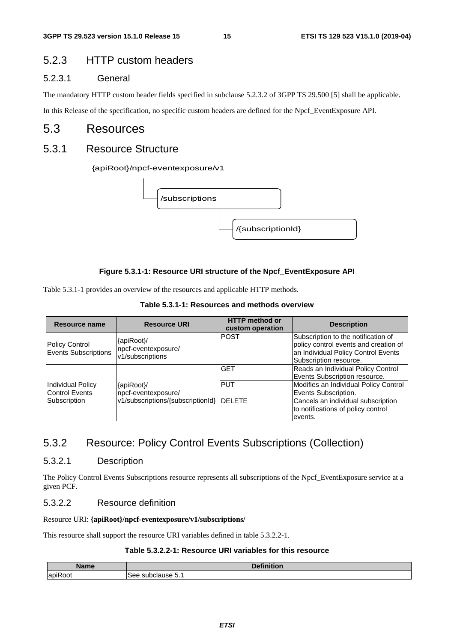# 5.2.3 HTTP custom headers

#### 5.2.3.1 General

The mandatory HTTP custom header fields specified in subclause 5.2.3.2 of 3GPP TS 29.500 [5] shall be applicable.

In this Release of the specification, no specific custom headers are defined for the Npcf\_EventExposure API.

## 5.3 Resources

### 5.3.1 Resource Structure

#### {apiRoot}/npcf-eventexposure/v1



#### **Figure 5.3.1-1: Resource URI structure of the Npcf\_EventExposure API**

Table 5.3.1-1 provides an overview of the resources and applicable HTTP methods.

| Table 5.3.1-1: Resources and methods overview |  |  |  |
|-----------------------------------------------|--|--|--|
|-----------------------------------------------|--|--|--|

| <b>Resource name</b>                          | <b>Resource URI</b>                                   | <b>HTTP</b> method or<br>custom operation | <b>Description</b>                                                                                                                            |
|-----------------------------------------------|-------------------------------------------------------|-------------------------------------------|-----------------------------------------------------------------------------------------------------------------------------------------------|
| <b>Policy Control</b><br>Events Subscriptions | {apiRoot}/<br>npcf-eventexposure/<br>v1/subscriptions | <b>POST</b>                               | Subscription to the notification of<br>policy control events and creation of<br>an Individual Policy Control Events<br>Subscription resource. |
|                                               |                                                       | <b>GET</b>                                | Reads an Individual Policy Control<br>Events Subscription resource.                                                                           |
| Individual Policy<br>Control Events           | {apiRoot}/<br>npcf-eventexposure/                     | <b>PUT</b>                                | Modifies an Individual Policy Control<br>Events Subscription.                                                                                 |
| Subscription                                  | v1/subscriptions/{subscriptionId} DELETE              |                                           | Cancels an individual subscription<br>to notifications of policy control<br>events.                                                           |

# 5.3.2 Resource: Policy Control Events Subscriptions (Collection)

#### 5.3.2.1 Description

The Policy Control Events Subscriptions resource represents all subscriptions of the Npcf\_EventExposure service at a given PCF.

#### 5.3.2.2 Resource definition

#### Resource URI: **{apiRoot}/npcf-eventexposure/v1/subscriptions/**

This resource shall support the resource URI variables defined in table 5.3.2.2-1.

#### **Table 5.3.2.2-1: Resource URI variables for this resource**

| <b>Name</b>                       | $-1.1$<br>$\mathbf{r}$<br>--<br>--- |
|-----------------------------------|-------------------------------------|
| $\cdot$ $-$<br><b>Panil</b><br>אט | - 20<br>suv<br>use ບ.⊥              |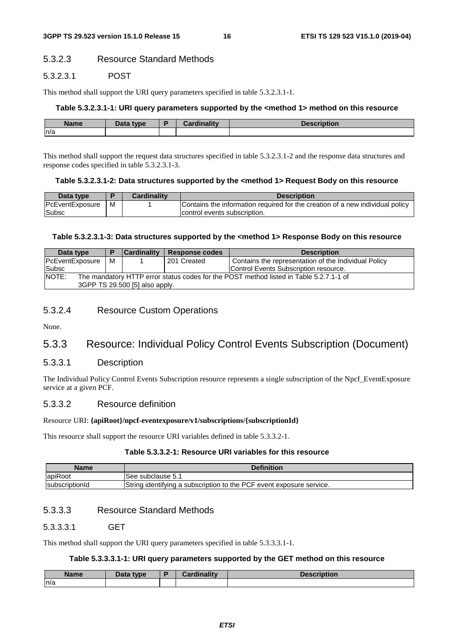#### 5.3.2.3 Resource Standard Methods

#### 5.3.2.3.1 POST

This method shall support the URI query parameters specified in table 5.3.2.3.1-1.

#### **Table 5.3.2.3.1-1: URI query parameters supported by the <method 1> method on this resource**

| <b>Name</b> | <b>Pata type</b><br>Dala | D | والمقالح ومقالوهم | :ription |
|-------------|--------------------------|---|-------------------|----------|
| n/a         |                          |   |                   |          |

This method shall support the request data structures specified in table 5.3.2.3.1-2 and the response data structures and response codes specified in table 5.3.2.3.1-3.

#### **Table 5.3.2.3.1-2: Data structures supported by the <method 1> Request Body on this resource**

| Data type       |   | <b>Cardinality</b> | <b>Description</b>                                                            |
|-----------------|---|--------------------|-------------------------------------------------------------------------------|
| PcEventExposure | м |                    | Contains the information required for the creation of a new individual policy |
| <b>Subsc</b>    |   |                    | control events subscription.                                                  |

#### **Table 5.3.2.3.1-3: Data structures supported by the <method 1> Response Body on this resource**

| Data type                                                                                       |   | <b>Cardinality</b> | <b>Response codes</b> | <b>Description</b>                                   |  |
|-------------------------------------------------------------------------------------------------|---|--------------------|-----------------------|------------------------------------------------------|--|
| PcEventExposure                                                                                 | м |                    | 201 Created           | Contains the representation of the Individual Policy |  |
| Subsc                                                                                           |   |                    |                       | Control Events Subscription resource.                |  |
| NOTE:<br>The mandatory HTTP error status codes for the POST method listed in Table 5.2.7.1-1 of |   |                    |                       |                                                      |  |
| 3GPP TS 29.500 [5] also apply.                                                                  |   |                    |                       |                                                      |  |

#### 5.3.2.4 Resource Custom Operations

None.

# 5.3.3 Resource: Individual Policy Control Events Subscription (Document)

#### 5.3.3.1 Description

The Individual Policy Control Events Subscription resource represents a single subscription of the Npcf\_EventExposure service at a given PCF.

#### 5.3.3.2 Resource definition

#### Resource URI: **{apiRoot}/npcf-eventexposure/v1/subscriptions/{subscriptionId}**

This resource shall support the resource URI variables defined in table 5.3.3.2-1.

#### **Table 5.3.3.2-1: Resource URI variables for this resource**

| <b>Name</b>            | <b>Definition</b>                                                    |
|------------------------|----------------------------------------------------------------------|
| apiRoot                | ISee subclause 5.1                                                   |
| <b>IsubscriptionId</b> | String identifying a subscription to the PCF event exposure service. |

#### 5.3.3.3 Resource Standard Methods

#### 5.3.3.3.1 GET

This method shall support the URI query parameters specified in table 5.3.3.3.1-1.

#### **Table 5.3.3.3.1-1: URI query parameters supported by the GET method on this resource**

| Name | <b>Pata type</b><br>Dala | Cardinality | Description |
|------|--------------------------|-------------|-------------|
| n/a  |                          |             |             |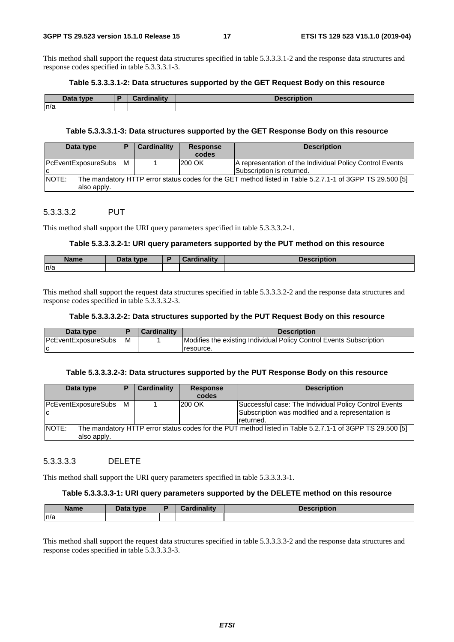This method shall support the request data structures specified in table 5.3.3.3.1-2 and the response data structures and response codes specified in table 5.3.3.3.1-3.

#### **Table 5.3.3.3.1-2: Data structures supported by the GET Request Body on this resource**

| Data type | <br>Million of Million<br><b>COL</b> | <b>Description</b> |
|-----------|--------------------------------------|--------------------|
| n/a       |                                      |                    |

#### **Table 5.3.3.3.1-3: Data structures supported by the GET Response Body on this resource**

| Data type                                                                                                                               |     | Cardinality | <b>Response</b><br>codes | <b>Description</b>                                                                    |  |  |
|-----------------------------------------------------------------------------------------------------------------------------------------|-----|-------------|--------------------------|---------------------------------------------------------------------------------------|--|--|
| PcEventExposureSubs<br>ΙC                                                                                                               | l M |             | 200 OK                   | A representation of the Individual Policy Control Events<br>Subscription is returned. |  |  |
| <b>NOTE:</b><br>The mandatory HTTP error status codes for the GET method listed in Table 5.2.7.1-1 of 3GPP TS 29.500 [5]<br>also apply. |     |             |                          |                                                                                       |  |  |

#### 5.3.3.3.2 PUT

This method shall support the URI query parameters specified in table 5.3.3.3.2-1.

#### **Table 5.3.3.3.2-1: URI query parameters supported by the PUT method on this resource**

| <b>Name</b> | Data type<br>Puw |  | tion |
|-------------|------------------|--|------|
| ln/a        |                  |  |      |

This method shall support the request data structures specified in table 5.3.3.3.2-2 and the response data structures and response codes specified in table 5.3.3.3.2-3.

#### **Table 5.3.3.3.2-2: Data structures supported by the PUT Request Body on this resource**

| Data type                  |   | <b>Cardinality</b> | <b>Description</b>                                                  |
|----------------------------|---|--------------------|---------------------------------------------------------------------|
| <b>PcEventExposureSubs</b> | м |                    | Modifies the existing Individual Policy Control Events Subscription |
|                            |   |                    | resource.                                                           |

#### **Table 5.3.3.3.2-3: Data structures supported by the PUT Response Body on this resource**

| Data type                                                                                                                               | P   | <b>Cardinality</b> | <b>Response</b><br>codes | <b>Description</b>                                                                                                      |  |  |
|-----------------------------------------------------------------------------------------------------------------------------------------|-----|--------------------|--------------------------|-------------------------------------------------------------------------------------------------------------------------|--|--|
| PcEventExposureSubs<br>ΙC                                                                                                               | I M |                    | 200 OK                   | Successful case: The Individual Policy Control Events<br>Subscription was modified and a representation is<br>returned. |  |  |
| <b>NOTE:</b><br>The mandatory HTTP error status codes for the PUT method listed in Table 5.2.7.1-1 of 3GPP TS 29.500 [5]<br>also apply. |     |                    |                          |                                                                                                                         |  |  |

#### 5.3.3.3.3 DELETE

This method shall support the URI query parameters specified in table 5.3.3.3.3-1.

#### **Table 5.3.3.3.3-1: URI query parameters supported by the DELETE method on this resource**

| <b>Name</b> | Data type | <b>Cardinality</b><br><b>Pordu</b> | <b>Description</b> |
|-------------|-----------|------------------------------------|--------------------|
| n/a         |           |                                    |                    |

This method shall support the request data structures specified in table 5.3.3.3.3-2 and the response data structures and response codes specified in table 5.3.3.3.3-3.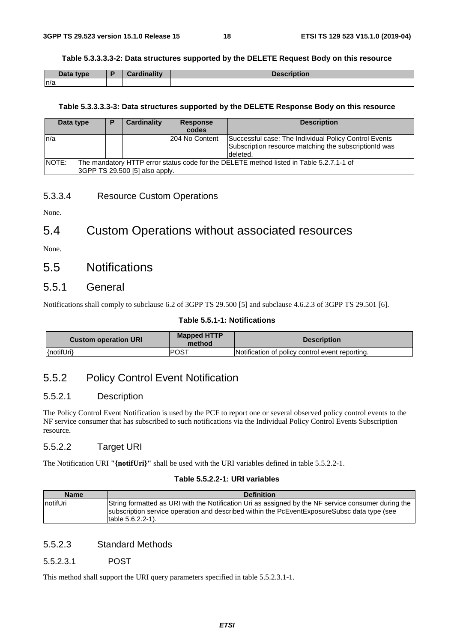#### **Table 5.3.3.3.3-2: Data structures supported by the DELETE Request Body on this resource**

| Data type | <b>Samuel Line State</b><br>ainality | <b>Description</b> |
|-----------|--------------------------------------|--------------------|
| n/a       |                                      |                    |

#### **Table 5.3.3.3.3-3: Data structures supported by the DELETE Response Body on this resource**

| Data type |                                                                                                                           | Ð | Cardinality | <b>Response</b><br>codes | <b>Description</b>                                                                                                         |  |
|-----------|---------------------------------------------------------------------------------------------------------------------------|---|-------------|--------------------------|----------------------------------------------------------------------------------------------------------------------------|--|
| ln/a      |                                                                                                                           |   |             | I204 No Content          | Successful case: The Individual Policy Control Events<br>Subscription resource matching the subscription d was<br>deleted. |  |
| NOTE:     | The mandatory HTTP error status code for the DELETE method listed in Table 5.2.7.1-1 of<br>3GPP TS 29.500 [5] also apply. |   |             |                          |                                                                                                                            |  |

#### 5.3.3.4 Resource Custom Operations

None.

# 5.4 Custom Operations without associated resources

None.

# 5.5 Notifications

#### 5.5.1 General

Notifications shall comply to subclause 6.2 of 3GPP TS 29.500 [5] and subclause 4.6.2.3 of 3GPP TS 29.501 [6].

#### **Table 5.5.1-1: Notifications**

| <b>Custom operation URI</b> | <b>Mapped HTTP</b><br>method | <b>Description</b>                              |
|-----------------------------|------------------------------|-------------------------------------------------|
| {notifUri}                  | <b>POST</b>                  | Notification of policy control event reporting. |

# 5.5.2 Policy Control Event Notification

#### 5.5.2.1 Description

The Policy Control Event Notification is used by the PCF to report one or several observed policy control events to the NF service consumer that has subscribed to such notifications via the Individual Policy Control Events Subscription resource.

#### 5.5.2.2 Target URI

The Notification URI **"{notifUri}"** shall be used with the URI variables defined in table 5.5.2.2-1.

#### **Table 5.5.2.2-1: URI variables**

| <b>Name</b>      | <b>Definition</b>                                                                                                                                                                                                             |
|------------------|-------------------------------------------------------------------------------------------------------------------------------------------------------------------------------------------------------------------------------|
| <b>InotifUri</b> | String formatted as URI with the Notification Uri as assigned by the NF service consumer during the<br>subscription service operation and described within the PcEventExposureSubsc data type (see<br>Itable $5.6.2.2 - 1$ ). |

#### 5.5.2.3 Standard Methods

#### 5.5.2.3.1 POST

This method shall support the URI query parameters specified in table 5.5.2.3.1-1.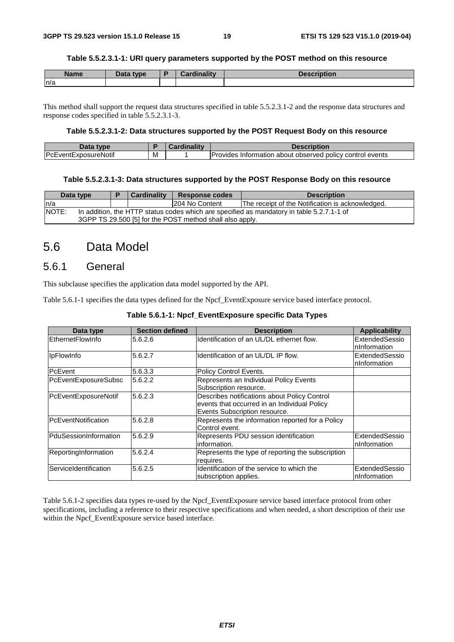#### **Table 5.5.2.3.1-1: URI query parameters supported by the POST method on this resource**

| <b>Name</b> | Data type<br>Putu | <b>Cardinality</b> | <b>Description</b> |
|-------------|-------------------|--------------------|--------------------|
| n/a         |                   |                    |                    |

This method shall support the request data structures specified in table 5.5.2.3.1-2 and the response data structures and response codes specified in table 5.5.2.3.1-3.

#### **Table 5.5.2.3.1-2: Data structures supported by the POST Request Body on this resource**

| Data<br><b>type</b>         |     | <b>THE 24</b><br>иша | Description                                                                           |
|-----------------------------|-----|----------------------|---------------------------------------------------------------------------------------|
| <b>PcEventExposureNotif</b> | ΙVΙ |                      | <b>IProvides</b><br>policy control events *<br>about observed <b>r</b><br>Information |

#### **Table 5.5.2.3.1-3: Data structures supported by the POST Response Body on this resource**

| Data type    |                                                                                           |  | <b>Cardinality</b> | Response codes  | <b>Description</b>                               |  |  |  |  |
|--------------|-------------------------------------------------------------------------------------------|--|--------------------|-----------------|--------------------------------------------------|--|--|--|--|
| In/a         |                                                                                           |  |                    | 1204 No Content | The receipt of the Notification is acknowledged. |  |  |  |  |
| <b>NOTE:</b> | In addition, the HTTP status codes which are specified as mandatory in table 5.2.7.1-1 of |  |                    |                 |                                                  |  |  |  |  |
|              | 3GPP TS 29.500 [5] for the POST method shall also apply.                                  |  |                    |                 |                                                  |  |  |  |  |

# 5.6 Data Model

### 5.6.1 General

This subclause specifies the application data model supported by the API.

Table 5.6.1-1 specifies the data types defined for the Npcf\_EventExposure service based interface protocol.

| Data type             | <b>Section defined</b> | <b>Description</b>                                | <b>Applicability</b> |
|-----------------------|------------------------|---------------------------------------------------|----------------------|
| EthernetFlowInfo      | 5.6.2.6                | Identification of an UL/DL ethernet flow.         | ExtendedSessio       |
|                       |                        |                                                   | nInformation         |
| <b>IpFlowInfo</b>     | 5.6.2.7                | Identification of an UL/DL IP flow.               | ExtendedSessio       |
|                       |                        |                                                   | nInformation         |
| <b>PcEvent</b>        | 5.6.3.3                | Policy Control Events.                            |                      |
| PcEventExposureSubsc  | 5.6.2.2                | Represents an Individual Policy Events            |                      |
|                       |                        | Subscription resource.                            |                      |
| PcEventExposureNotif  | 5.6.2.3                | Describes notifications about Policy Control      |                      |
|                       |                        | events that occurred in an Individual Policy      |                      |
|                       |                        | Events Subscription resource.                     |                      |
| PcEventNotification   | 5.6.2.8                | Represents the information reported for a Policy  |                      |
|                       |                        | Control event.                                    |                      |
| PduSessionInformation | 5.6.2.9                | Represents PDU session identification             | ExtendedSessio       |
|                       |                        | information.                                      | nInformation         |
| ReportingInformation  | 5.6.2.4                | Represents the type of reporting the subscription |                      |
|                       |                        | requires.                                         |                      |
| ServiceIdentification | 5.6.2.5                | Identification of the service to which the        | ExtendedSessio       |
|                       |                        | subscription applies.                             | nInformation         |

#### **Table 5.6.1-1: Npcf\_EventExposure specific Data Types**

Table 5.6.1-2 specifies data types re-used by the Npcf\_EventExposure service based interface protocol from other specifications, including a reference to their respective specifications and when needed, a short description of their use within the Npcf\_EventExposure service based interface.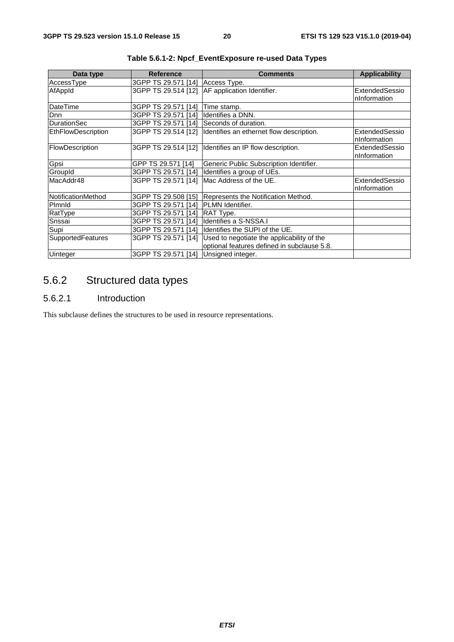| Data type          | <b>Reference</b>                      | <b>Comments</b>                             | <b>Applicability</b>           |
|--------------------|---------------------------------------|---------------------------------------------|--------------------------------|
| AccessType         | 3GPP TS 29.571 [14]                   | Access Type.                                |                                |
| AfAppId            | 3GPP TS 29.514 [12]                   | AF application Identifier.                  | ExtendedSessio                 |
|                    |                                       |                                             | nInformation                   |
| DateTime           | 3GPP TS 29.571 [14]                   | Time stamp.                                 |                                |
| <b>D</b> nn        | 3GPP TS 29.571 [14]                   | Identifies a DNN.                           |                                |
| <b>DurationSec</b> | 3GPP TS 29.571 [14]                   | Seconds of duration.                        |                                |
| EthFlowDescription | 3GPP TS 29.514 [12]                   | Identifies an ethernet flow description.    | ExtendedSessio<br>nInformation |
| FlowDescription    | 3GPP TS 29.514 [12]                   | Identifies an IP flow description.          | ExtendedSessio<br>nInformation |
| Gpsi               | GPP TS 29.571 [14]                    | Generic Public Subscription Identifier.     |                                |
| GroupId            | 3GPP TS 29.571 [14]                   | Identifies a group of UEs.                  |                                |
| MacAddr48          | 3GPP TS 29.571 [14]                   | Mac Address of the UE.                      | ExtendedSessio<br>nInformation |
| NotificationMethod | 3GPP TS 29.508 [15]                   | Represents the Notification Method.         |                                |
| Pimnid             | 3GPP TS 29.571 [14]                   | <b>PLMN</b> Identifier.                     |                                |
| RatType            | 3GPP TS 29.571 [14]                   | RAT Type.                                   |                                |
| Snssai             | 3GPP TS 29.571 [14]                   | Identifies a S-NSSA.I                       |                                |
| Supi               | 3GPP TS 29.571 [14]                   | Identifies the SUPI of the UE.              |                                |
| SupportedFeatures  | 3GPP TS 29.571 [14]                   | Used to negotiate the applicability of the  |                                |
|                    |                                       | optional features defined in subclause 5.8. |                                |
| <b>Uinteger</b>    | 3GPP TS 29.571 [14] Unsigned integer. |                                             |                                |

**Table 5.6.1-2: Npcf\_EventExposure re-used Data Types** 

# 5.6.2 Structured data types

#### 5.6.2.1 Introduction

This subclause defines the structures to be used in resource representations.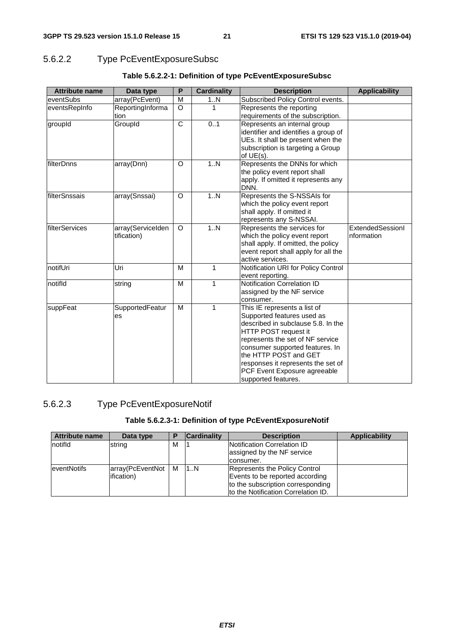# 5.6.2.2 Type PcEventExposureSubsc

| <b>Attribute name</b> | Data type                        | P        | <b>Cardinality</b> | <b>Description</b>                                                                                                                                                                                                                                                                                                    | <b>Applicability</b>           |
|-----------------------|----------------------------------|----------|--------------------|-----------------------------------------------------------------------------------------------------------------------------------------------------------------------------------------------------------------------------------------------------------------------------------------------------------------------|--------------------------------|
| eventSubs             | array(PcEvent)                   | M        | 1N                 | Subscribed Policy Control events.                                                                                                                                                                                                                                                                                     |                                |
| eventsRepInfo         | ReportingInforma                 | $\Omega$ | 1                  | Represents the reporting                                                                                                                                                                                                                                                                                              |                                |
|                       | tion                             |          |                    | requirements of the subscription.                                                                                                                                                                                                                                                                                     |                                |
| groupId               | GroupId                          | C        | 0.1                | Represents an internal group<br>identifier and identifies a group of<br>UEs. It shall be present when the<br>subscription is targeting a Group<br>of $UE(s)$ .                                                                                                                                                        |                                |
| filterDnns            | array(Dnn)                       | O        | 1N                 | Represents the DNNs for which<br>the policy event report shall<br>apply. If omitted it represents any<br>DNN.                                                                                                                                                                                                         |                                |
| filterSnssais         | array(Snssai)                    | O        | 1.N                | Represents the S-NSSAIs for<br>which the policy event report<br>shall apply. If omitted it<br>represents any S-NSSAI.                                                                                                                                                                                                 |                                |
| filterServices        | array(ServiceIden<br>tification) | $\Omega$ | 1N                 | Represents the services for<br>which the policy event report<br>shall apply. If omitted, the policy<br>event report shall apply for all the<br>active services.                                                                                                                                                       | ExtendedSessionI<br>nformation |
| notifUri              | Uri                              | M        | $\mathbf{1}$       | Notification URI for Policy Control<br>event reporting.                                                                                                                                                                                                                                                               |                                |
| notifld               | string                           | м        | 1                  | Notification Correlation ID<br>assigned by the NF service<br>consumer.                                                                                                                                                                                                                                                |                                |
| suppFeat              | SupportedFeatur<br>es            | M        | 1                  | This IE represents a list of<br>Supported features used as<br>described in subclause 5.8. In the<br>HTTP POST request it<br>represents the set of NF service<br>consumer supported features. In<br>the HTTP POST and GET<br>responses it represents the set of<br>PCF Event Exposure agreeable<br>supported features. |                                |

#### **Table 5.6.2.2-1: Definition of type PcEventExposureSubsc**

### 5.6.2.3 Type PcEventExposureNotif

### **Table 5.6.2.3-1: Definition of type PcEventExposureNotif**

| <b>Attribute name</b> | Data type        |   | <b>Cardinality</b> | <b>Description</b>                                        | <b>Applicability</b> |
|-----------------------|------------------|---|--------------------|-----------------------------------------------------------|----------------------|
| notifid               | string           | м |                    | Notification Correlation ID<br>assigned by the NF service |                      |
|                       |                  |   |                    | consumer.                                                 |                      |
| <b>leventNotifs</b>   | array(PcEventNot | M | 1N                 | Represents the Policy Control                             |                      |
|                       | ification)       |   |                    | Events to be reported according                           |                      |
|                       |                  |   |                    | to the subscription corresponding                         |                      |
|                       |                  |   |                    | to the Notification Correlation ID.                       |                      |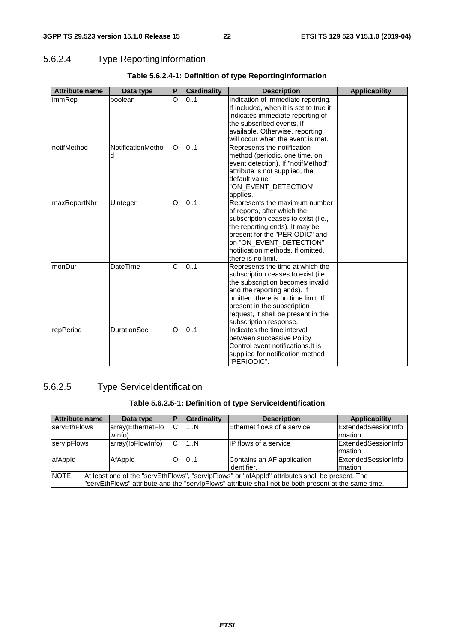### 5.6.2.4 Type ReportingInformation

| <b>Attribute name</b> | Data type              | P        | <b>Cardinality</b> | <b>Description</b>                                                                                                                                                                                                                                                               | <b>Applicability</b> |
|-----------------------|------------------------|----------|--------------------|----------------------------------------------------------------------------------------------------------------------------------------------------------------------------------------------------------------------------------------------------------------------------------|----------------------|
| immRep                | boolean                | $\Omega$ | 0.1                | Indication of immediate reporting.<br>If included, when it is set to true it<br>indicates immediate reporting of<br>the subscribed events, if<br>available. Otherwise, reporting<br>will occur when the event is met.                                                            |                      |
| notifMethod           | NotificationMetho<br>d | O        | 0.1                | Represents the notification<br>method (periodic, one time, on<br>event detection). If "notifMethod"<br>attribute is not supplied, the<br>default value<br>"ON_EVENT_DETECTION"<br>applies.                                                                                       |                      |
| maxReportNbr          | Uinteger               | O        | 0.1                | Represents the maximum number<br>of reports, after which the<br>subscription ceases to exist (i.e.,<br>the reporting ends). It may be<br>present for the "PERIODIC" and<br>on "ON_EVENT_DETECTION"<br>notification methods. If omitted,<br>there is no limit.                    |                      |
| monDur                | <b>DateTime</b>        | C        | 0.1                | Represents the time at which the<br>subscription ceases to exist (i.e.<br>the subscription becomes invalid<br>and the reporting ends). If<br>omitted, there is no time limit. If<br>present in the subscription<br>request, it shall be present in the<br>subscription response. |                      |
| repPeriod             | <b>DurationSec</b>     | $\circ$  | 0.1                | Indicates the time interval<br>between successive Policy<br>Control event notifications. It is<br>supplied for notification method<br>"PERIODIC".                                                                                                                                |                      |

### **Table 5.6.2.4-1: Definition of type ReportingInformation**

### 5.6.2.5 Type ServiceIdentification

### **Table 5.6.2.5-1: Definition of type ServiceIdentification**

| <b>Attribute name</b>                                                                                                                                                                                            | Data type                   | P | <b>Cardinality</b> | <b>Description</b>                         | <b>Applicability</b>                         |  |
|------------------------------------------------------------------------------------------------------------------------------------------------------------------------------------------------------------------|-----------------------------|---|--------------------|--------------------------------------------|----------------------------------------------|--|
| <b>IservEthFlows</b>                                                                                                                                                                                             | array(EthernetFlo<br>wlnfo) | C | 1N                 | Ethernet flows of a service.               | <b>ExtendedSessionInfo</b><br>Irmation       |  |
| servipFlows                                                                                                                                                                                                      | array(lpFlowInfo)           | C | 1N                 | <b>IP flows of a service</b>               | <b>ExtendedSessionInfo</b><br><b>Imation</b> |  |
| afAppId                                                                                                                                                                                                          | AfAppId                     | O | 0.1                | Contains an AF application<br>lidentifier. | ExtendedSessionInfo<br><b>Imation</b>        |  |
| NOTE:<br>At least one of the "servEthFlows", "servIpFlows" or "afAppId" attributes shall be present. The<br>"servEthFlows" attribute and the "servlpFlows" attribute shall not be both present at the same time. |                             |   |                    |                                            |                                              |  |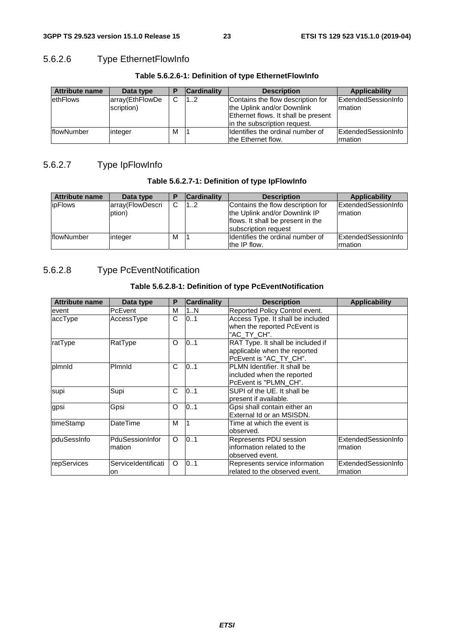### 5.6.2.6 Type EthernetFlowInfo

| <b>Attribute name</b> | Data type       |   | <b>Cardinality</b> | <b>Description</b>                  | Applicability               |
|-----------------------|-----------------|---|--------------------|-------------------------------------|-----------------------------|
| <b>lethFlows</b>      | array(EthFlowDe | C | 12                 | Contains the flow description for   | <b>IExtendedSessionInfo</b> |
|                       | scription)      |   |                    | the Uplink and/or Downlink          | Irmation                    |
|                       |                 |   |                    | Ethernet flows. It shall be present |                             |
|                       |                 |   |                    | in the subscription request.        |                             |
| <b>IflowNumber</b>    | linteger        | M |                    | Ildentifies the ordinal number of   | ExtendedSessionInfo         |
|                       |                 |   |                    | the Ethernet flow.                  | Irmation                    |

# 5.6.2.7 Type IpFlowInfo

#### **Table 5.6.2.7-1: Definition of type IpFlowInfo**

| <b>Attribute name</b> | Data type        | в | <b>Cardinality</b> | <b>Description</b>                | Applicability       |
|-----------------------|------------------|---|--------------------|-----------------------------------|---------------------|
| <i>ipFlows</i>        | array(FlowDescri | C | 12                 | Contains the flow description for | ExtendedSessionInfo |
|                       | ption)           |   |                    | the Uplink and/or Downlink IP     | <b>Imation</b>      |
|                       |                  |   |                    | flows. It shall be present in the |                     |
|                       |                  |   |                    | subscription request              |                     |
| <b>flowNumber</b>     | integer          | м |                    | Ildentifies the ordinal number of | ExtendedSessionInfo |
|                       |                  |   |                    | the IP flow.                      | Irmation            |

### 5.6.2.8 Type PcEventNotification

### **Table 5.6.2.8-1: Definition of type PcEventNotification**

| <b>Attribute name</b> | Data type                 | P | <b>Cardinality</b> | <b>Description</b>                                                                          | <b>Applicability</b>            |
|-----------------------|---------------------------|---|--------------------|---------------------------------------------------------------------------------------------|---------------------------------|
| event                 | PcEvent                   | М | 1N                 | Reported Policy Control event.                                                              |                                 |
| accType               | AccessType                | C | 01                 | Access Type. It shall be included<br>when the reported PcEvent is<br>"AC_TY_CH".            |                                 |
| ratType               | RatType                   | O | 0.1                | RAT Type. It shall be included if<br>applicable when the reported<br>PcEvent is "AC_TY_CH". |                                 |
| plmnld                | Plmnld                    | C | 0.1                | PLMN Identifier. It shall be<br>included when the reported<br>PcEvent is "PLMN CH".         |                                 |
| supi                  | Supi                      | C | 0.1                | SUPI of the UE. It shall be<br>present if available.                                        |                                 |
| gpsi                  | Gpsi                      | O | 0.1                | Gpsi shall contain either an<br>External Id or an MSISDN.                                   |                                 |
| timeStamp             | DateTime                  | M |                    | Time at which the event is<br>observed.                                                     |                                 |
| <b>pduSessinfo</b>    | PduSessionInfor<br>mation | O | 0.1                | Represents PDU session<br>information related to the<br>observed event.                     | ExtendedSessionInfo<br>Irmation |
| repServices           | ServiceIdentificati<br>on | O | 0.1                | Represents service information<br>related to the observed event.                            | ExtendedSessionInfo<br>Irmation |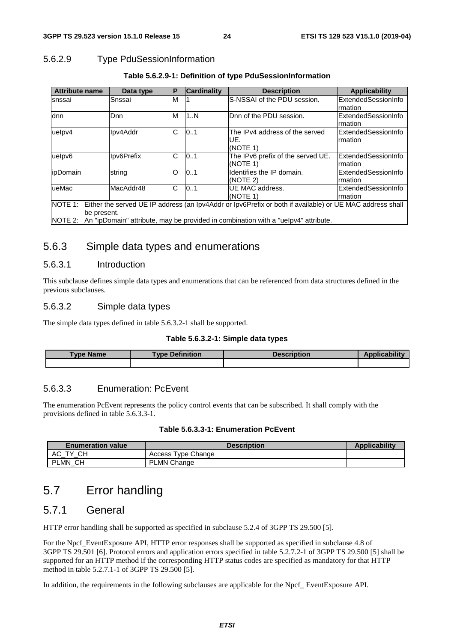### 5.6.2.9 Type PduSessionInformation

| <b>Attribute name</b>                                                                                                                                                                                                         | Data type  | Р | <b>Cardinality</b> | <b>Description</b>                                | <b>Applicability</b>            |  |
|-------------------------------------------------------------------------------------------------------------------------------------------------------------------------------------------------------------------------------|------------|---|--------------------|---------------------------------------------------|---------------------------------|--|
| snssai                                                                                                                                                                                                                        | Snssai     | M |                    | S-NSSAI of the PDU session.                       | ExtendedSessionInfo<br>rmation  |  |
| dnn                                                                                                                                                                                                                           | Dnn        | M | 1N                 | Dnn of the PDU session.                           | ExtendedSessionInfo<br>rmation  |  |
| uelpv4                                                                                                                                                                                                                        | Ipv4Addr   | C | 0.1                | The IPv4 address of the served<br>UE.<br>(NOTE 1) | ExtendedSessionInfo<br>Irmation |  |
| uelpv6                                                                                                                                                                                                                        | Ipv6Prefix | C | 0.1                | The IPv6 prefix of the served UE.<br>(NOTE 1)     | lExtendedSessionInfo<br>rmation |  |
| lipDomain                                                                                                                                                                                                                     | string     | Ω | 0.1                | Identifies the IP domain.<br>(NOTE 2)             | ExtendedSessionInfo<br>rmation  |  |
| ueMac                                                                                                                                                                                                                         | MacAddr48  | C | 0.1                | UE MAC address.<br>(NOTE 1)                       | ExtendedSessionInfo<br>Irmation |  |
| NOTE 1: Either the served UE IP address (an Ipv4Addr or Ipv6Prefix or both if available) or UE MAC address shall<br>be present.<br>NOTE 2: An "ipDomain" attribute, may be provided in combination with a "uelpv4" attribute. |            |   |                    |                                                   |                                 |  |

#### **Table 5.6.2.9-1: Definition of type PduSessionInformation**

### 5.6.3 Simple data types and enumerations

#### 5.6.3.1 Introduction

This subclause defines simple data types and enumerations that can be referenced from data structures defined in the previous subclauses.

#### 5.6.3.2 Simple data types

The simple data types defined in table 5.6.3.2-1 shall be supported.

#### **Table 5.6.3.2-1: Simple data types**

| <b>Type Name</b> | <b>Type Definition</b> | <b>Description</b> | ∆nr |
|------------------|------------------------|--------------------|-----|
|                  |                        |                    |     |

#### 5.6.3.3 Enumeration: PcEvent

The enumeration PcEvent represents the policy control events that can be subscribed. It shall comply with the provisions defined in table 5.6.3.3-1.

| Table 5.6.3.3-1: Enumeration PcEvent |  |  |  |
|--------------------------------------|--|--|--|
|--------------------------------------|--|--|--|

| <b>Enumeration value</b> | <b>Description</b> | <b>Applicability</b> |
|--------------------------|--------------------|----------------------|
| <b>CH</b><br>АC<br>TV.   | Access Type Change |                      |
| PLMN CH                  | <b>PLMN Change</b> |                      |

# 5.7 Error handling

### 5.7.1 General

HTTP error handling shall be supported as specified in subclause 5.2.4 of 3GPP TS 29.500 [5].

For the Npcf. EventExposure API, HTTP error responses shall be supported as specified in subclause 4.8 of 3GPP TS 29.501 [6]. Protocol errors and application errors specified in table 5.2.7.2-1 of 3GPP TS 29.500 [5] shall be supported for an HTTP method if the corresponding HTTP status codes are specified as mandatory for that HTTP method in table 5.2.7.1-1 of 3GPP TS 29.500 [5].

In addition, the requirements in the following subclauses are applicable for the Npcf\_ EventExposure API.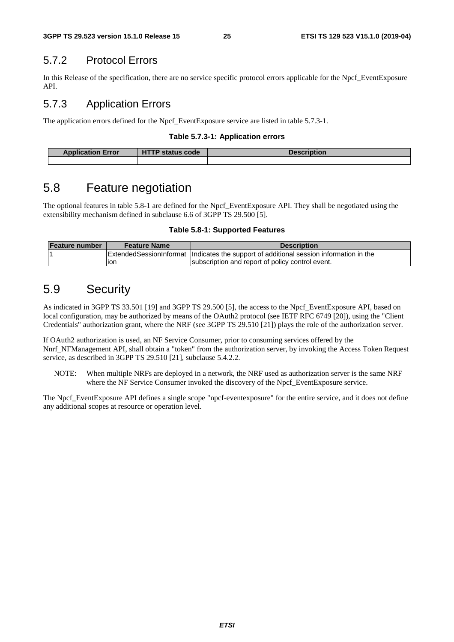# 5.7.2 Protocol Errors

In this Release of the specification, there are no service specific protocol errors applicable for the Npcf\_EventExposure API.

# 5.7.3 Application Errors

The application errors defined for the Npcf\_EventExposure service are listed in table 5.7.3-1.

### **Table 5.7.3-1: Application errors**

| <b>Application Error</b> | status code<br>. . | <b>Description</b> |
|--------------------------|--------------------|--------------------|
|                          |                    |                    |

# 5.8 Feature negotiation

The optional features in table 5.8-1 are defined for the Npcf\_EventExposure API. They shall be negotiated using the extensibility mechanism defined in subclause 6.6 of 3GPP TS 29.500 [5].

#### **Table 5.8-1: Supported Features**

| <b>Feature number</b> | <b>Feature Name</b> | <b>Description</b>                                                                         |
|-----------------------|---------------------|--------------------------------------------------------------------------------------------|
|                       |                     | Extended Session Informat   Indicates the support of additional session information in the |
|                       | lon                 | subscription and report of policy control event.                                           |

# 5.9 Security

As indicated in 3GPP TS 33.501 [19] and 3GPP TS 29.500 [5], the access to the Npcf\_EventExposure API, based on local configuration, may be authorized by means of the OAuth2 protocol (see IETF RFC 6749 [20]), using the "Client Credentials" authorization grant, where the NRF (see 3GPP TS 29.510 [21]) plays the role of the authorization server.

If OAuth2 authorization is used, an NF Service Consumer, prior to consuming services offered by the Nnrf\_NFManagement API, shall obtain a "token" from the authorization server, by invoking the Access Token Request service, as described in 3GPP TS 29.510 [21], subclause 5.4.2.2.

NOTE: When multiple NRFs are deployed in a network, the NRF used as authorization server is the same NRF where the NF Service Consumer invoked the discovery of the Npcf\_EventExposure service.

The Npcf EventExposure API defines a single scope "npcf-eventexposure" for the entire service, and it does not define any additional scopes at resource or operation level.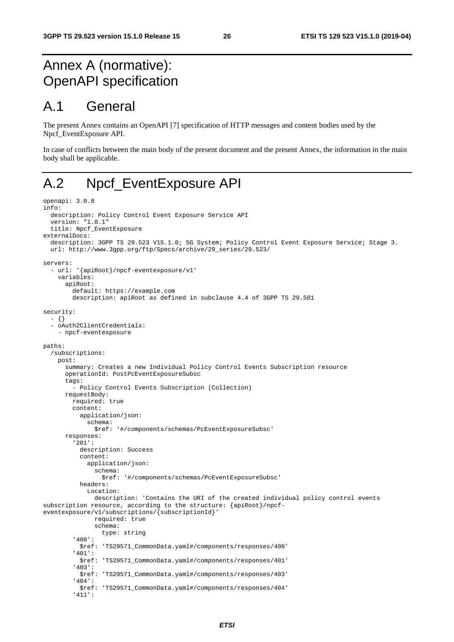# Annex A (normative): OpenAPI specification

# A.1 General

The present Annex contains an OpenAPI [7] specification of HTTP messages and content bodies used by the Npcf\_EventExposure API.

In case of conflicts between the main body of the present document and the present Annex, the information in the main body shall be applicable.

# A.2 Npcf\_EventExposure API

```
openapi: 3.0.0 
info: 
   description: Policy Control Event Exposure Service API 
   version: "1.0.1" 
   title: Npcf_EventExposure 
externalDocs: 
   description: 3GPP TS 29.523 V15.1.0; 5G System; Policy Control Event Exposure Service; Stage 3. 
   url: http://www.3gpp.org/ftp/Specs/archive/29_series/29.523/ 
servers: 
   - url: '{apiRoot}/npcf-eventexposure/v1' 
     variables: 
       apiRoot: 
         default: https://example.com 
         description: apiRoot as defined in subclause 4.4 of 3GPP TS 29.501 
security: 
   - {} 
   - oAuth2ClientCredentials: 
     - npcf-eventexposure 
paths: 
   /subscriptions: 
     post: 
       summary: Creates a new Individual Policy Control Events Subscription resource 
       operationId: PostPcEventExposureSubsc 
       tags: 
         - Policy Control Events Subscription (Collection) 
       requestBody: 
         required: true 
         content: 
           application/json: 
              schema: 
                $ref: '#/components/schemas/PcEventExposureSubsc' 
       responses: 
          '201': 
           description: Success 
           content: 
              application/json: 
                schema: 
                 $ref: '#/components/schemas/PcEventExposureSubsc' 
           headers: 
              Location: 
                description: 'Contains the URI of the created individual policy control events 
subscription resource, according to the structure: {apiRoot}/npcf-
eventexposure/v1/subscriptions/{subscriptionId}' 
                required: true 
                schema: 
                  type: string 
          '400': 
           $ref: 'TS29571_CommonData.yaml#/components/responses/400' 
          '401': 
           $ref: 'TS29571_CommonData.yaml#/components/responses/401' 
          '403': 
           $ref: 'TS29571_CommonData.yaml#/components/responses/403' 
          '404': 
            $ref: 'TS29571_CommonData.yaml#/components/responses/404' 
          '411':
```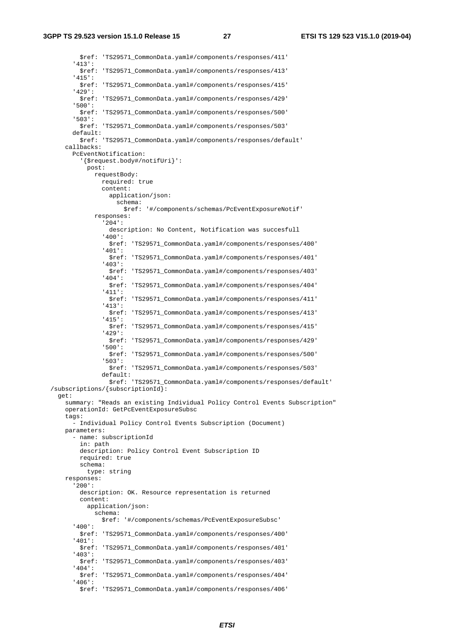\$ref: 'TS29571\_CommonData.yaml#/components/responses/411' '413': \$ref: 'TS29571\_CommonData.yaml#/components/responses/413' '415': \$ref: 'TS29571\_CommonData.yaml#/components/responses/415' '429': \$ref: 'TS29571\_CommonData.yaml#/components/responses/429' '500': \$ref: 'TS29571\_CommonData.yaml#/components/responses/500' '503': \$ref: 'TS29571\_CommonData.yaml#/components/responses/503' default: \$ref: 'TS29571\_CommonData.yaml#/components/responses/default' callbacks: PcEventNotification: '{\$request.body#/notifUri}': post: requestBody: required: true content: application/json: schema: \$ref: '#/components/schemas/PcEventExposureNotif' responses: '204': description: No Content, Notification was succesfull '400': \$ref: 'TS29571\_CommonData.yaml#/components/responses/400' '401': \$ref: 'TS29571\_CommonData.yaml#/components/responses/401' '403': \$ref: 'TS29571\_CommonData.yaml#/components/responses/403' '404': \$ref: 'TS29571\_CommonData.yaml#/components/responses/404' '411': \$ref: 'TS29571\_CommonData.yaml#/components/responses/411' '413': \$ref: 'TS29571\_CommonData.yaml#/components/responses/413' '415': \$ref: 'TS29571\_CommonData.yaml#/components/responses/415' '429': \$ref: 'TS29571\_CommonData.yaml#/components/responses/429' '500': \$ref: 'TS29571\_CommonData.yaml#/components/responses/500' '503': \$ref: 'TS29571\_CommonData.yaml#/components/responses/503' default: \$ref: 'TS29571\_CommonData.yaml#/components/responses/default' /subscriptions/{subscriptionId}: get: summary: "Reads an existing Individual Policy Control Events Subscription" operationId: GetPcEventExposureSubsc tags: - Individual Policy Control Events Subscription (Document) parameters: - name: subscriptionId in: path description: Policy Control Event Subscription ID required: true schema: type: string responses: '200': description: OK. Resource representation is returned content: application/json: schema: \$ref: '#/components/schemas/PcEventExposureSubsc' '400': \$ref: 'TS29571\_CommonData.yaml#/components/responses/400' '401': \$ref: 'TS29571\_CommonData.yaml#/components/responses/401' '403': \$ref: 'TS29571\_CommonData.yaml#/components/responses/403' '404': \$ref: 'TS29571\_CommonData.yaml#/components/responses/404' '406': \$ref: 'TS29571\_CommonData.yaml#/components/responses/406'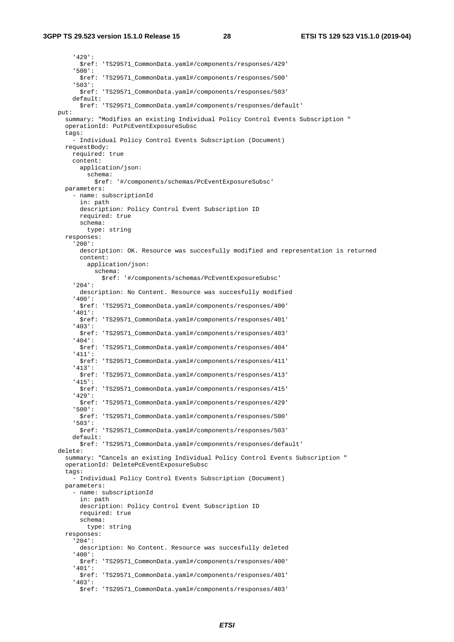#### **3GPP TS 29.523 version 15.1.0 Release 15 28 ETSI TS 129 523 V15.1.0 (2019-04)**

 '429': \$ref: 'TS29571\_CommonData.yaml#/components/responses/429' '500': \$ref: 'TS29571\_CommonData.yaml#/components/responses/500' '503': \$ref: 'TS29571\_CommonData.yaml#/components/responses/503' default: \$ref: 'TS29571\_CommonData.yaml#/components/responses/default' put: summary: "Modifies an existing Individual Policy Control Events Subscription " operationId: PutPcEventExposureSubsc tags: - Individual Policy Control Events Subscription (Document) requestBody: required: true content: application/json: schema: \$ref: '#/components/schemas/PcEventExposureSubsc' parameters: - name: subscriptionId in: path description: Policy Control Event Subscription ID required: true schema: type: string responses: '200': description: OK. Resource was succesfully modified and representation is returned content: application/json: schema: \$ref: '#/components/schemas/PcEventExposureSubsc' '204': description: No Content. Resource was succesfully modified '400': \$ref: 'TS29571\_CommonData.yaml#/components/responses/400' '401': \$ref: 'TS29571\_CommonData.yaml#/components/responses/401' '403': \$ref: 'TS29571\_CommonData.yaml#/components/responses/403' '404': \$ref: 'TS29571\_CommonData.yaml#/components/responses/404' '411': \$ref: 'TS29571\_CommonData.yaml#/components/responses/411' '413': \$ref: 'TS29571\_CommonData.yaml#/components/responses/413' '415': \$ref: 'TS29571\_CommonData.yaml#/components/responses/415' '429': \$ref: 'TS29571\_CommonData.yaml#/components/responses/429' '500': \$ref: 'TS29571\_CommonData.yaml#/components/responses/500' '503': \$ref: 'TS29571\_CommonData.yaml#/components/responses/503' default: \$ref: 'TS29571\_CommonData.yaml#/components/responses/default' delete: summary: "Cancels an existing Individual Policy Control Events Subscription " operationId: DeletePcEventExposureSubsc tags: - Individual Policy Control Events Subscription (Document) parameters: - name: subscriptionId in: path description: Policy Control Event Subscription ID required: true schema: type: string responses: '204': description: No Content. Resource was succesfully deleted '400': \$ref: 'TS29571\_CommonData.yaml#/components/responses/400' '401': \$ref: 'TS29571\_CommonData.yaml#/components/responses/401' '403': \$ref: 'TS29571\_CommonData.yaml#/components/responses/403'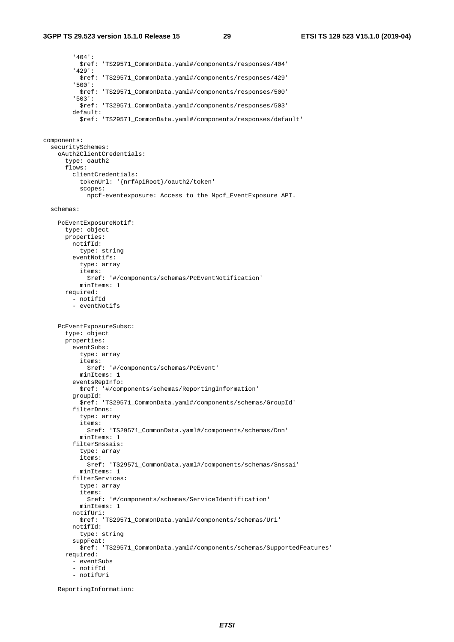'404': \$ref: 'TS29571\_CommonData.yaml#/components/responses/404' '429': \$ref: 'TS29571\_CommonData.yaml#/components/responses/429' '500': \$ref: 'TS29571\_CommonData.yaml#/components/responses/500' '503': \$ref: 'TS29571\_CommonData.yaml#/components/responses/503' default: \$ref: 'TS29571\_CommonData.yaml#/components/responses/default' components: securitySchemes: oAuth2ClientCredentials: type: oauth2 flows: clientCredentials: tokenUrl: '{nrfApiRoot}/oauth2/token' scopes: npcf-eventexposure: Access to the Npcf\_EventExposure API. schemas: PcEventExposureNotif: type: object properties: notifId: type: string eventNotifs: type: array items: \$ref: '#/components/schemas/PcEventNotification' minItems: 1 required: - notifId - eventNotifs PcEventExposureSubsc: type: object properties: eventSubs: type: array items: \$ref: '#/components/schemas/PcEvent' minItems: 1 eventsRepInfo: \$ref: '#/components/schemas/ReportingInformation' groupId: \$ref: 'TS29571\_CommonData.yaml#/components/schemas/GroupId' filterDnns: type: array items: \$ref: 'TS29571\_CommonData.yaml#/components/schemas/Dnn' minItems: 1 filterSnssais: type: array items: \$ref: 'TS29571\_CommonData.yaml#/components/schemas/Snssai' minItems: 1 filterServices: type: array items: \$ref: '#/components/schemas/ServiceIdentification' minItems: 1 notifUri: \$ref: 'TS29571\_CommonData.yaml#/components/schemas/Uri' notifId: type: string suppFeat: \$ref: 'TS29571\_CommonData.yaml#/components/schemas/SupportedFeatures' required: - eventSubs - notifId - notifUri

ReportingInformation: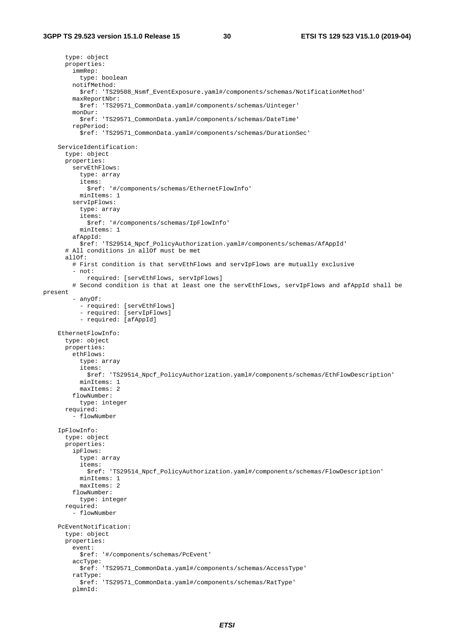```
 type: object 
       properties: 
         immRep: 
           type: boolean 
         notifMethod: 
           $ref: 'TS29508_Nsmf_EventExposure.yaml#/components/schemas/NotificationMethod' 
         maxReportNbr: 
           $ref: 'TS29571_CommonData.yaml#/components/schemas/Uinteger' 
         monDur: 
           $ref: 'TS29571_CommonData.yaml#/components/schemas/DateTime' 
         repPeriod: 
           $ref: 'TS29571_CommonData.yaml#/components/schemas/DurationSec' 
     ServiceIdentification: 
       type: object 
       properties: 
         servEthFlows: 
           type: array 
           items: 
              $ref: '#/components/schemas/EthernetFlowInfo' 
           minItems: 1 
         servIpFlows: 
           type: array 
           items: 
              $ref: '#/components/schemas/IpFlowInfo' 
           minItems: 1 
         afAppId: 
           $ref: 'TS29514_Npcf_PolicyAuthorization.yaml#/components/schemas/AfAppId' 
       # All conditions in allOf must be met 
      a110f:
         # First condition is that servEthFlows and servIpFlows are mutually exclusive 
          - not: 
             required: [servEthFlows, servIpFlows] 
         # Second condition is that at least one the servEthFlows, servIpFlows and afAppId shall be 
present 
          - anyOf: 
           - required: [servEthFlows] 
 - required: [servIpFlows] 
 - required: [afAppId] 
     EthernetFlowInfo: 
       type: object 
       properties: 
         ethFlows: 
           type: array 
           items: 
             $ref: 'TS29514_Npcf_PolicyAuthorization.yaml#/components/schemas/EthFlowDescription' 
           minItems: 1 
           maxItems: 2 
         flowNumber: 
           type: integer 
       required: 
          - flowNumber 
     IpFlowInfo: 
       type: object 
       properties: 
         ipFlows: 
           type: array 
           items: 
              $ref: 'TS29514_Npcf_PolicyAuthorization.yaml#/components/schemas/FlowDescription' 
           minItems: 1 
           maxItems: 2 
         flowNumber: 
           type: integer 
       required: 
          - flowNumber 
     PcEventNotification: 
       type: object 
       properties: 
         event: 
           $ref: '#/components/schemas/PcEvent' 
         accType: 
           $ref: 'TS29571_CommonData.yaml#/components/schemas/AccessType' 
         ratType: 
           $ref: 'TS29571_CommonData.yaml#/components/schemas/RatType' 
         plmnId:
```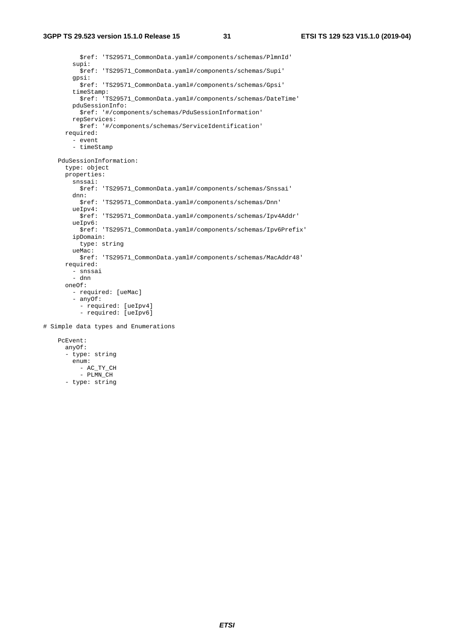\$ref: 'TS29571\_CommonData.yaml#/components/schemas/PlmnId' supi: \$ref: 'TS29571\_CommonData.yaml#/components/schemas/Supi' gpsi: \$ref: 'TS29571\_CommonData.yaml#/components/schemas/Gpsi' timeStamp: \$ref: 'TS29571\_CommonData.yaml#/components/schemas/DateTime' pduSessionInfo: \$ref: '#/components/schemas/PduSessionInformation' repServices: \$ref: '#/components/schemas/ServiceIdentification' required: - event - timeStamp PduSessionInformation: type: object properties: snssai: \$ref: 'TS29571\_CommonData.yaml#/components/schemas/Snssai' dnn: \$ref: 'TS29571\_CommonData.yaml#/components/schemas/Dnn' ueIpv4: \$ref: 'TS29571\_CommonData.yaml#/components/schemas/Ipv4Addr' ueIpv6: \$ref: 'TS29571\_CommonData.yaml#/components/schemas/Ipv6Prefix' ipDomain: type: string ueMac: \$ref: 'TS29571\_CommonData.yaml#/components/schemas/MacAddr48' required: - snssai - dnn oneOf: - required: [ueMac] - anyOf: - required: [ueIpv4] - required: [ueIpv6] # Simple data types and Enumerations PcEvent: anyOf: - type: string enum: - AC\_TY\_CH

- $-$  PLMN  $CH$
- type: string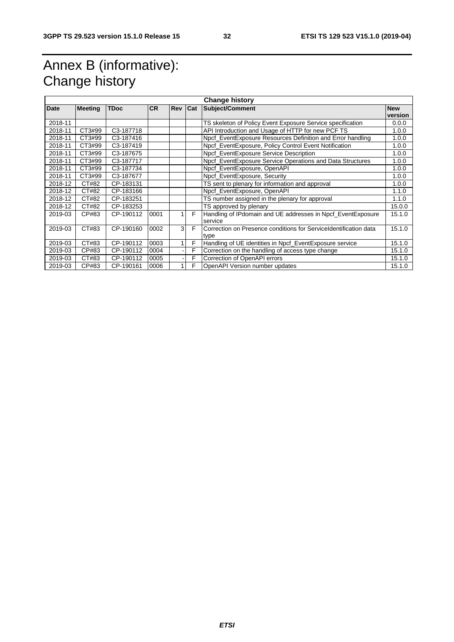# Annex B (informative): Change history

| <b>Change history</b> |                |             |           |            |            |                                                                   |            |
|-----------------------|----------------|-------------|-----------|------------|------------|-------------------------------------------------------------------|------------|
| <b>Date</b>           | <b>Meeting</b> | <b>TDoc</b> | <b>CR</b> | <b>Rev</b> | <b>Cat</b> | Subject/Comment                                                   | <b>New</b> |
|                       |                |             |           |            |            |                                                                   | version    |
| 2018-11               |                |             |           |            |            | TS skeleton of Policy Event Exposure Service specification        | 0.0.0      |
| 2018-11               | CT3#99         | C3-187718   |           |            |            | API Introduction and Usage of HTTP for new PCF TS                 | 1.0.0      |
| 2018-11               | CT3#99         | C3-187416   |           |            |            | Npcf EventExposure Resources Definition and Error handling        | 1.0.0      |
| 2018-11               | CT3#99         | C3-187419   |           |            |            | Npcf_EventExposure, Policy Control Event Notification             | 1.0.0      |
| 2018-11               | CT3#99         | C3-187675   |           |            |            | Npcf EventExposure Service Description                            | 1.0.0      |
| 2018-11               | CT3#99         | C3-187717   |           |            |            | Npcf EventExposure Service Operations and Data Structures         | 1.0.0      |
| 2018-11               | CT3#99         | C3-187734   |           |            |            | Npcf EventExposure, OpenAPI                                       | 1.0.0      |
| 2018-11               | CT3#99         | C3-187677   |           |            |            | Npcf EventExposure, Security                                      | 1.0.0      |
| 2018-12               | CT#82          | CP-183131   |           |            |            | TS sent to plenary for information and approval                   | 1.0.0      |
| 2018-12               | CT#82          | CP-183166   |           |            |            | Npcf_EventExposure, OpenAPI                                       | 1.1.0      |
| 2018-12               | CT#82          | CP-183251   |           |            |            | TS number assigned in the plenary for approval                    | 1.1.0      |
| 2018-12               | CT#82          | CP-183253   |           |            |            | TS approved by plenary                                            | 15.0.0     |
| 2019-03               | CP#83          | CP-190112   | 0001      |            | F          | Handling of IP domain and UE addresses in Npcf Event Exposure     | 15.1.0     |
|                       |                |             |           |            |            | service                                                           |            |
| 2019-03               | CT#83          | CP-190160   | 0002      | 3          | F          | Correction on Presence conditions for Service Identification data | 15.1.0     |
|                       |                |             |           |            |            | type                                                              |            |
| 2019-03               | CT#83          | CP-190112   | 0003      |            | F          | Handling of UE identities in Npcf_EventExposure service           | 15.1.0     |
| 2019-03               | CP#83          | CP-190112   | 0004      |            | F          | Correction on the handling of access type change                  | 15.1.0     |
| 2019-03               | CT#83          | CP-190112   | 0005      |            | F          | Correction of OpenAPI errors                                      | 15.1.0     |
| 2019-03               | CP#83          | CP-190161   | 0006      |            | F          | OpenAPI Version number updates                                    | 15.1.0     |